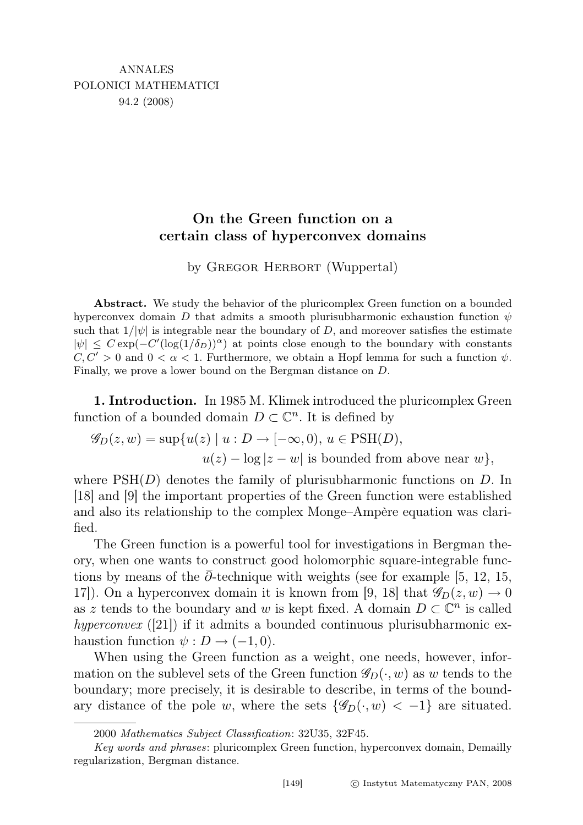## On the Green function on a certain class of hyperconvex domains

by GREGOR HERBORT (Wuppertal)

Abstract. We study the behavior of the pluricomplex Green function on a bounded hyperconvex domain D that admits a smooth plurisubharmonic exhaustion function  $\psi$ such that  $1/|\psi|$  is integrable near the boundary of D, and moreover satisfies the estimate  $|\psi| \leq C \exp(-C'(\log(1/\delta_D))^{\alpha})$  at points close enough to the boundary with constants  $C, C' > 0$  and  $0 < \alpha < 1$ . Furthermore, we obtain a Hopf lemma for such a function  $\psi$ . Finally, we prove a lower bound on the Bergman distance on D.

1. Introduction. In 1985 M. Klimek introduced the pluricomplex Green function of a bounded domain  $D \subset \mathbb{C}^n$ . It is defined by

$$
\mathscr{G}_D(z, w) = \sup \{ u(z) \mid u : D \to [-\infty, 0), u \in \text{PSH}(D),
$$

 $u(z) - \log|z - w|$  is bounded from above near w $\},$ 

where  $PSH(D)$  denotes the family of plurisubharmonic functions on D. In [18] and [9] the important properties of the Green function were established and also its relationship to the complex Monge–Ampère equation was clarified.

The Green function is a powerful tool for investigations in Bergman theory, when one wants to construct good holomorphic square-integrable functions by means of the  $\bar{\partial}$ -technique with weights (see for example [5, 12, 15, 17]). On a hyperconvex domain it is known from [9, 18] that  $\mathscr{G}_D(z, w) \to 0$ as z tends to the boundary and w is kept fixed. A domain  $D \subset \mathbb{C}^n$  is called hyperconvex  $([21])$  if it admits a bounded continuous plurisubharmonic exhaustion function  $\psi : D \to (-1,0)$ .

When using the Green function as a weight, one needs, however, information on the sublevel sets of the Green function  $\mathscr{G}_D(\cdot, w)$  as w tends to the boundary; more precisely, it is desirable to describe, in terms of the boundary distance of the pole w, where the sets  $\{\mathscr{G}_D(\cdot, w) < -1\}$  are situated.

<sup>2000</sup> Mathematics Subject Classification: 32U35, 32F45.

Key words and phrases: pluricomplex Green function, hyperconvex domain, Demailly regularization, Bergman distance.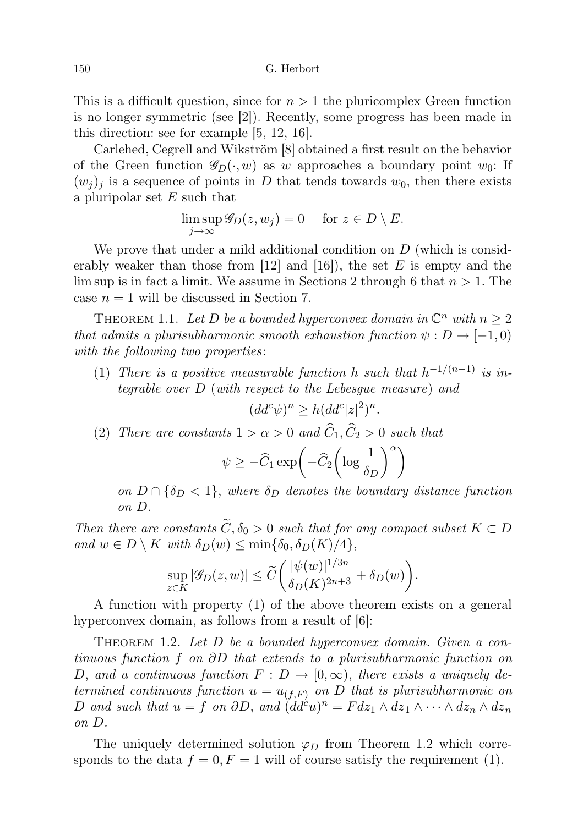This is a difficult question, since for  $n > 1$  the pluricomplex Green function is no longer symmetric (see [2]). Recently, some progress has been made in this direction: see for example [5, 12, 16].

Carlehed, Cegrell and Wikström [8] obtained a first result on the behavior of the Green function  $\mathscr{G}_D(\cdot, w)$  as w approaches a boundary point  $w_0$ : If  $(w_j)_j$  is a sequence of points in D that tends towards  $w_0$ , then there exists a pluripolar set  $E$  such that

$$
\limsup_{j \to \infty} \mathcal{G}_D(z, w_j) = 0 \quad \text{ for } z \in D \setminus E.
$$

We prove that under a mild additional condition on  $D$  (which is considerably weaker than those from [12] and [16]), the set  $E$  is empty and the lim sup is in fact a limit. We assume in Sections 2 through 6 that  $n > 1$ . The case  $n = 1$  will be discussed in Section 7.

THEOREM 1.1. Let D be a bounded hyperconvex domain in  $\mathbb{C}^n$  with  $n \geq 2$ that admits a plurisubharmonic smooth exhaustion function  $\psi : D \to [-1,0)$ with the following two properties:

(1) There is a positive measurable function h such that  $h^{-1/(n-1)}$  is integrable over D (with respect to the Lebesgue measure) and

$$
(dd^c \psi)^n \ge h(dd^c |z|^2)^n.
$$

(2) There are constants  $1 > \alpha > 0$  and  $\widehat{C}_1, \widehat{C}_2 > 0$  such that

$$
\psi \ge -\widehat{C}_1 \exp\left(-\widehat{C}_2 \left(\log \frac{1}{\delta_D}\right)^{\alpha}\right)
$$

on  $D \cap {\delta_D} < 1$ , where  $\delta_D$  denotes the boundary distance function on D.

Then there are constants  $\widetilde{C}$ ,  $\delta_0 > 0$  such that for any compact subset  $K \subset D$ and  $w \in D \setminus K$  with  $\delta_D(w) \leq \min{\delta_0, \delta_D(K)/4}$ ,

$$
\sup_{z \in K} |\mathcal{G}_D(z, w)| \le \widetilde{C} \bigg( \frac{|\psi(w)|^{1/3n}}{\delta_D(K)^{2n+3}} + \delta_D(w) \bigg).
$$

A function with property (1) of the above theorem exists on a general hyperconvex domain, as follows from a result of  $[6]$ :

THEOREM 1.2. Let  $D$  be a bounded hyperconvex domain. Given a continuous function f on ∂D that extends to a plurisubharmonic function on D, and a continuous function  $F : \overline{D} \to [0, \infty)$ , there exists a uniquely determined continuous function  $u = u_{(f,F)}$  on  $\overline{D}$  that is plurisubharmonic on D and such that  $u = f$  on  $\partial D$ , and  $\ddot{d}d^c u$ <sup>n</sup> =  $F dz_1 \wedge d\overline{z}_1 \wedge \cdots \wedge dz_n \wedge d\overline{z}_n$ on D.

The uniquely determined solution  $\varphi_D$  from Theorem 1.2 which corresponds to the data  $f = 0, F = 1$  will of course satisfy the requirement (1).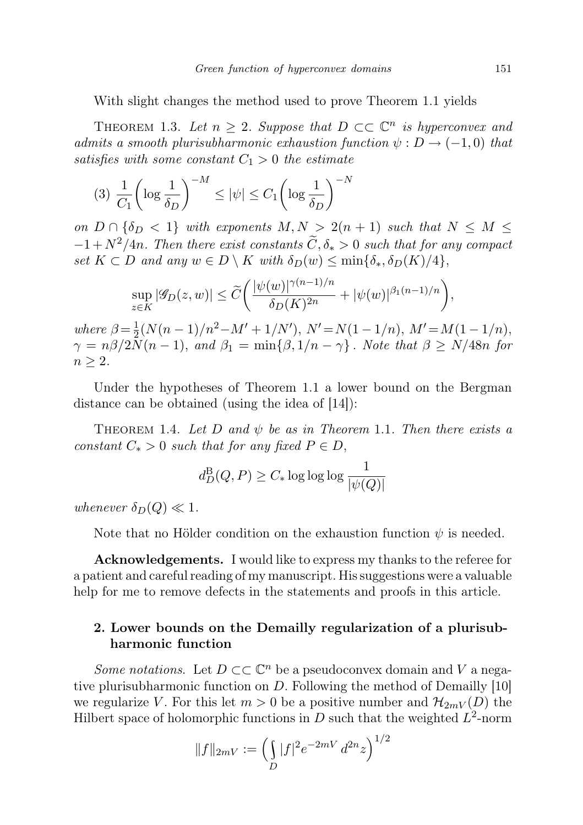With slight changes the method used to prove Theorem 1.1 yields

THEOREM 1.3. Let  $n \geq 2$ . Suppose that  $D \subset\subset \mathbb{C}^n$  is hyperconvex and admits a smooth plurisubharmonic exhaustion function  $\psi : D \to (-1,0)$  that satisfies with some constant  $C_1 > 0$  the estimate

$$
(3) \frac{1}{C_1} \left( \log \frac{1}{\delta_D} \right)^{-M} \le |\psi| \le C_1 \left( \log \frac{1}{\delta_D} \right)^{-N}
$$

on  $D \cap {\delta_D} < 1$  with exponents  $M, N > 2(n + 1)$  such that  $N \leq M \leq$  $-1 + N^2/4n$ . Then there exist constants  $\widetilde{C}, \delta_* > 0$  such that for any compact set  $K \subset D$  and any  $w \in D \setminus K$  with  $\delta_D(w) \leq \min{\{\delta_*, \delta_D(K)/4\}},$ 

$$
\sup_{z \in K} |\mathscr{G}_D(z, w)| \le \widetilde{C} \bigg( \frac{|\psi(w)|^{\gamma(n-1)/n}}{\delta_D(K)^{2n}} + |\psi(w)|^{\beta_1(n-1)/n} \bigg),
$$

where  $\beta = \frac{1}{2}$  $\frac{1}{2}(N(n-1)/n^2-M'+1/N'), N'=N(1-1/n), M'=M(1-1/n),$  $\gamma = n\beta/2\tilde{N}(n-1)$ , and  $\beta_1 = \min{\{\beta, 1/n - \gamma\}}$ . Note that  $\beta \ge N/48n$  for  $n \geq 2$ .

Under the hypotheses of Theorem 1.1 a lower bound on the Bergman distance can be obtained (using the idea of [14]):

THEOREM 1.4. Let D and  $\psi$  be as in Theorem 1.1. Then there exists a constant  $C_* > 0$  such that for any fixed  $P \in D$ ,

$$
d_D^{\mathrm{B}}(Q,P) \geq C_* \log \log \log \frac{1}{|\psi(Q)|}
$$

whenever  $\delta_D(Q) \ll 1$ .

Note that no Hölder condition on the exhaustion function  $\psi$  is needed.

Acknowledgements. I would like to express my thanks to the referee for a patient and careful reading of my manuscript. His suggestions were a valuable help for me to remove defects in the statements and proofs in this article.

## 2. Lower bounds on the Demailly regularization of a plurisubharmonic function

Some notations. Let  $D \subset\subset \mathbb{C}^n$  be a pseudoconvex domain and V a negative plurisubharmonic function on D. Following the method of Demailly [10] we regularize V. For this let  $m > 0$  be a positive number and  $\mathcal{H}_{2mV}(D)$  the Hilbert space of holomorphic functions in  $D$  such that the weighted  $L^2$ -norm

$$
||f||_{2mV} := \left(\int_D |f|^2 e^{-2mV} d^{2n}z\right)^{1/2}
$$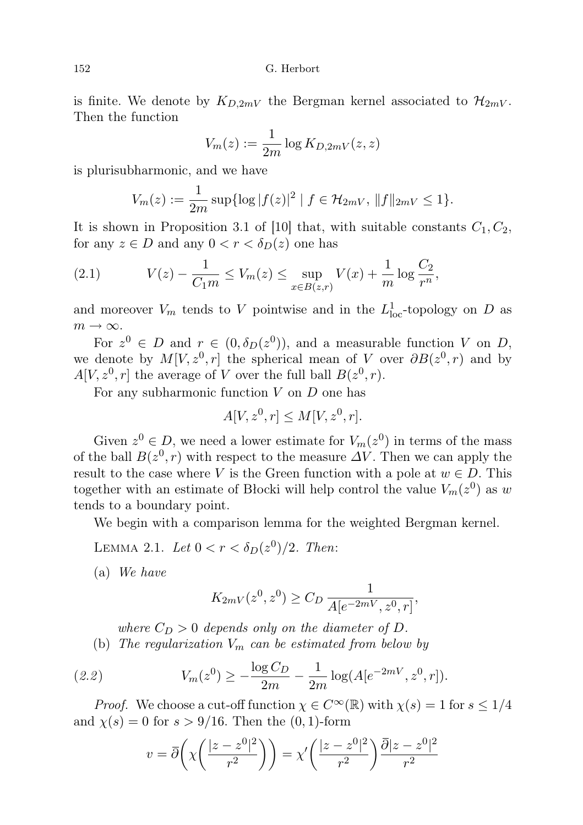is finite. We denote by  $K_{D,2mV}$  the Bergman kernel associated to  $\mathcal{H}_{2mV}$ . Then the function

$$
V_m(z) := \frac{1}{2m} \log K_{D,2mV}(z,z)
$$

is plurisubharmonic, and we have

$$
V_m(z) := \frac{1}{2m} \sup \{ \log |f(z)|^2 \mid f \in \mathcal{H}_{2mV}, \|f\|_{2mV} \le 1 \}.
$$

It is shown in Proposition 3.1 of [10] that, with suitable constants  $C_1, C_2$ , for any  $z \in D$  and any  $0 < r < \delta_D(z)$  one has

(2.1) 
$$
V(z) - \frac{1}{C_1 m} \le V_m(z) \le \sup_{x \in B(z,r)} V(x) + \frac{1}{m} \log \frac{C_2}{r^n},
$$

and moreover  $V_m$  tends to V pointwise and in the  $L^1_{loc}$ -topology on D as  $m \to \infty$ .

For  $z^0 \in D$  and  $r \in (0, \delta_D(z^0))$ , and a measurable function V on D, we denote by  $M[V, z^0, r]$  the spherical mean of V over  $\partial B(z^0, r)$  and by  $A[V, z^0, r]$  the average of V over the full ball  $B(z^0, r)$ .

For any subharmonic function  $V$  on  $D$  one has

$$
A[V, z^0, r] \le M[V, z^0, r].
$$

Given  $z^0 \in D$ , we need a lower estimate for  $V_m(z^0)$  in terms of the mass of the ball  $B(z^0, r)$  with respect to the measure  $\Delta V$ . Then we can apply the result to the case where V is the Green function with a pole at  $w \in D$ . This together with an estimate of Blocki will help control the value  $V_m(z^0)$  as w tends to a boundary point.

We begin with a comparison lemma for the weighted Bergman kernel.

LEMMA 2.1. Let  $0 < r < \delta_D(z^0)/2$ . Then:

(a) We have

$$
K_{2mV}(z^0, z^0) \ge C_D \frac{1}{A[e^{-2mV}, z^0, r]},
$$

where  $C_D > 0$  depends only on the diameter of D. (b) The regularization  $V_m$  can be estimated from below by

(2.2) 
$$
V_m(z^0) \ge -\frac{\log C_D}{2m} - \frac{1}{2m} \log(A[e^{-2mV}, z^0, r]).
$$

*Proof.* We choose a cut-off function  $\chi \in C^{\infty}(\mathbb{R})$  with  $\chi(s) = 1$  for  $s \leq 1/4$ and  $\chi(s) = 0$  for  $s > 9/16$ . Then the  $(0, 1)$ -form

$$
v = \overline{\partial}\left(\chi\left(\frac{|z-z^0|^2}{r^2}\right)\right) = \chi'\left(\frac{|z-z^0|^2}{r^2}\right)\frac{\overline{\partial}|z-z^0|^2}{r^2}
$$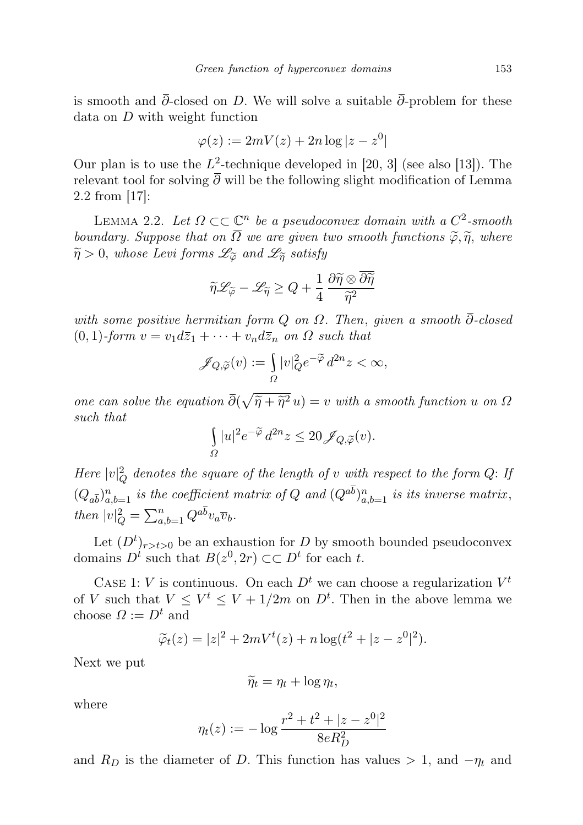is smooth and  $\bar{\partial}$ -closed on D. We will solve a suitable  $\bar{\partial}$ -problem for these data on D with weight function

$$
\varphi(z) := 2mV(z) + 2n\log|z - z^0|
$$

Our plan is to use the  $L^2$ -technique developed in [20, 3] (see also [13]). The relevant tool for solving  $\overline{\partial}$  will be the following slight modification of Lemma 2.2 from [17]:

LEMMA 2.2. Let  $\Omega \subset \mathbb{C}^n$  be a pseudoconvex domain with a  $C^2$ -smooth boundary. Suppose that on  $\overline{\Omega}$  we are given two smooth functions  $\widetilde{\varphi}, \widetilde{\eta}$ , where  $\widetilde{\eta} > 0$ , whose Levi forms  $\mathscr{L}_{\widetilde{\varphi}}$  and  $\mathscr{L}_{\widetilde{\eta}}$  satisfy

$$
\widetilde{\eta}\mathscr{L}_{\widetilde{\varphi}}-\mathscr{L}_{\widetilde{\eta}}\geq Q+\frac{1}{4}\frac{\partial\widetilde{\eta}\otimes\overline{\partial\widetilde{\eta}}}{\widetilde{\eta}^2}
$$

with some positive hermitian form  $Q$  on  $\Omega$ . Then, given a smooth  $\partial$ -closed  $(0, 1)$ -form  $v = v_1 d\overline{z}_1 + \cdots + v_n d\overline{z}_n$  on  $\Omega$  such that

$$
\mathscr{J}_{Q,\widetilde{\varphi}}(v):=\smallint_{\varOmega}|v|_{Q}^{2}e^{-\widetilde{\varphi}}\,d^{2n}z<\infty,
$$

one can solve the equation  $\overline{\partial}(\sqrt{\tilde{\eta} + \tilde{\eta}^2} u) = v$  with a smooth function u on  $\Omega$ <br>such that such that

$$
\int\limits_\varOmega |u|^2e^{-\widetilde\varphi}\,d^{2n}z\leq 20\,\mathscr J_{Q,\widetilde\varphi}(v).
$$

Here  $|v|_Q^2$  denotes the square of the length of v with respect to the form Q: If  $(Q_{a\overline{b}})_{a,b=1}^n$  is the coefficient matrix of Q and  $(Q^{ab})_{a,b=1}^n$  is its inverse matrix, then  $|v|_Q^2 = \sum_{a,b=1}^n Q^{a\overline{b}} v_a \overline{v}_b.$ 

Let  $(D^t)_{r>t>0}$  be an exhaustion for D by smooth bounded pseudoconvex domains  $D^t$  such that  $B(z^0, 2r) \subset\subset D^t$  for each t.

CASE 1: V is continuous. On each  $D<sup>t</sup>$  we can choose a regularization  $V<sup>t</sup>$ of V such that  $V \leq V^t \leq V + 1/2m$  on  $D^t$ . Then in the above lemma we choose  $\Omega := D^t$  and

$$
\widetilde{\varphi}_t(z) = |z|^2 + 2mV^t(z) + n\log(t^2 + |z - z^0|^2).
$$

Next we put

$$
\widetilde{\eta}_t = \eta_t + \log \eta_t,
$$

where

$$
\eta_t(z) := -\log \frac{r^2 + t^2 + |z - z^0|^2}{8eR_D^2}
$$

and  $R_D$  is the diameter of D. This function has values > 1, and  $-\eta_t$  and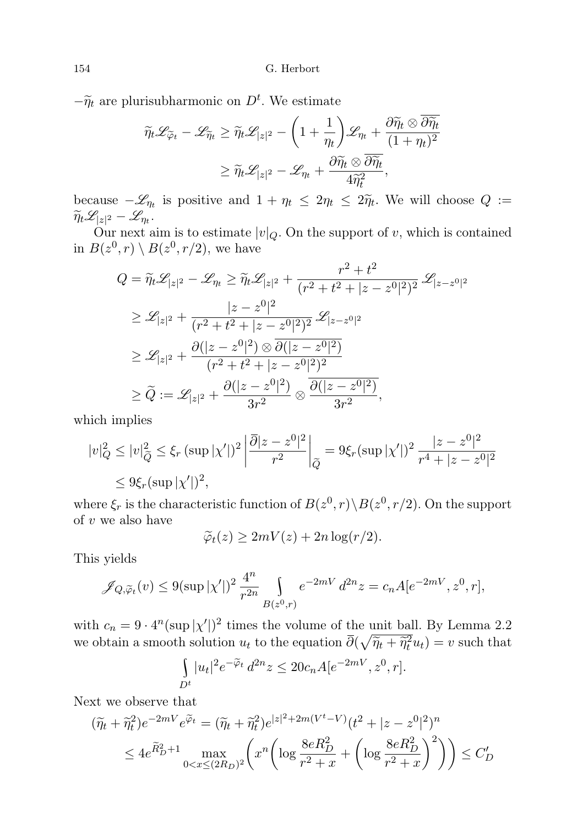$-\widetilde{\eta}_t$  are plurisubharmonic on  $D^t$ . We estimate

$$
\widetilde{\eta}_t \mathscr{L}_{\widetilde{\varphi}_t} - \mathscr{L}_{\widetilde{\eta}_t} \ge \widetilde{\eta}_t \mathscr{L}_{|z|^2} - \left(1 + \frac{1}{\eta_t}\right) \mathscr{L}_{\eta_t} + \frac{\partial \widetilde{\eta}_t \otimes \overline{\partial \widetilde{\eta}_t}}{(1 + \eta_t)^2}
$$
\n
$$
\ge \widetilde{\eta}_t \mathscr{L}_{|z|^2} - \mathscr{L}_{\eta_t} + \frac{\partial \widetilde{\eta}_t \otimes \overline{\partial \widetilde{\eta}_t}}{4\widetilde{\eta}_t^2},
$$

because  $-\mathscr{L}_{\eta_t}$  is positive and  $1 + \eta_t \leq 2\eta_t \leq 2\widetilde{\eta}_t$ . We will choose  $Q := \widetilde{\mathscr{L}}_{\eta_t}$  $\widetilde{\eta}_t \mathscr{L}_{|z|^2} - \mathscr{L}_{\eta_t}.$ 

Our next aim is to estimate  $|v|_Q$ . On the support of v, which is contained in  $B(z^0, r) \setminus B(z^0, r/2)$ , we have

$$
Q = \widetilde{\eta}_t \mathscr{L}_{|z|^2} - \mathscr{L}_{\eta_t} \ge \widetilde{\eta}_t \mathscr{L}_{|z|^2} + \frac{r^2 + t^2}{(r^2 + t^2 + |z - z^0|^2)^2} \mathscr{L}_{|z - z^0|^2}
$$
  
\n
$$
\ge \mathscr{L}_{|z|^2} + \frac{|z - z^0|^2}{(r^2 + t^2 + |z - z^0|^2)^2} \mathscr{L}_{|z - z^0|^2}
$$
  
\n
$$
\ge \mathscr{L}_{|z|^2} + \frac{\partial(|z - z^0|^2) \otimes \overline{\partial(|z - z^0|^2)}}{(r^2 + t^2 + |z - z^0|^2)^2}
$$
  
\n
$$
\ge \widetilde{Q} := \mathscr{L}_{|z|^2} + \frac{\partial(|z - z^0|^2)}{3r^2} \otimes \frac{\overline{\partial(|z - z^0|^2)}}{3r^2},
$$

which implies

$$
|v|_Q^2 \le |v|_{\widetilde{Q}}^2 \le \xi_r \left(\sup|\chi'|\right)^2 \left|\frac{\overline{\partial}|z-z^0|^2}{r^2}\right|_{\widetilde{Q}} = 9\xi_r \left(\sup|\chi'|\right)^2 \frac{|z-z^0|^2}{r^4 + |z-z^0|^2}
$$
  

$$
\le 9\xi_r \left(\sup|\chi'|\right)^2,
$$

where  $\xi_r$  is the characteristic function of  $B(z^0, r) \Bra{B(z^0, r/2)}$ . On the support of  $v$  we also have

$$
\widetilde{\varphi}_t(z) \ge 2mV(z) + 2n\log(r/2).
$$

This yields

$$
\mathscr{J}_{Q,\widetilde{\varphi}_t}(v) \le 9(\sup|\chi'|)^2 \frac{4^n}{r^{2n}} \int_{B(z^0,r)} e^{-2mV} d^{2n}z = c_n A[e^{-2mV}, z^0, r],
$$

with  $c_n = 9 \cdot 4^n (\sup |\chi'|)^2$  times the volume of the unit ball. By Lemma 2.2 we obtain a smooth solution  $u_t$  to the equation  $\overline{\partial}(\sqrt{\tilde{\eta}_t + \tilde{\eta}_t^2}u_t) = v$  such that

$$
\int_{D^t} |u_t|^2 e^{-\widetilde{\varphi}_t} d^{2n} z \le 20c_n A[e^{-2mV}, z^0, r].
$$

Next we observe that

$$
(\widetilde{\eta}_t + \widetilde{\eta}_t^2) e^{-2mV} e^{\widetilde{\varphi}_t} = (\widetilde{\eta}_t + \widetilde{\eta}_t^2) e^{|z|^2 + 2m(V^t - V)} (t^2 + |z - z^0|^2)^n
$$
  

$$
\leq 4e^{\widetilde{R}_D^2 + 1} \max_{0 < x \leq (2R_D)^2} \left( x^n \left( \log \frac{8eR_D^2}{r^2 + x} + \left( \log \frac{8eR_D^2}{r^2 + x} \right)^2 \right) \right) \leq C_D'
$$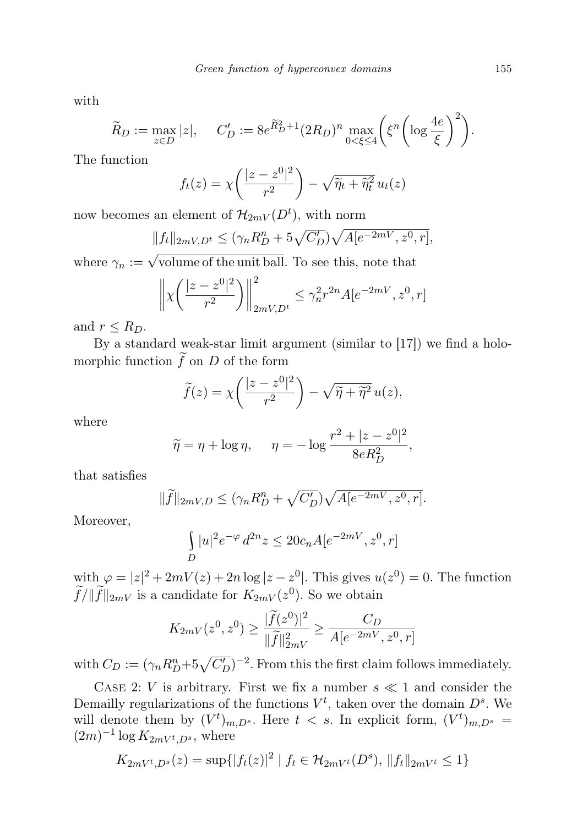with

$$
\widetilde{R}_D := \max_{z \in D} |z|, \quad C'_D := 8e^{\widetilde{R}_D^2 + 1} (2R_D)^n \max_{0 < \xi \le 4} \left( \xi^n \left( \log \frac{4e}{\xi} \right)^2 \right).
$$

The function

$$
f_t(z) = \chi\left(\frac{|z - z^0|^2}{r^2}\right) - \sqrt{\widetilde{\eta}_t + \widetilde{\eta}_t^2} u_t(z)
$$

now becomes an element of  $\mathcal{H}_{2mV}(D^{t}),$  with norm

$$
||f_t||_{2mV,D^t} \le (\gamma_n R_D^n + 5\sqrt{C'_D})\sqrt{A[e^{-2mV}, z^0, r]},
$$

where  $\gamma_n := \sqrt{\text{volume of the unit ball}}$ . To see this, note that

$$
\left\| \chi \left( \frac{|z - z^0|^2}{r^2} \right) \right\|_{2mV, D^t}^2 \le \gamma_n^2 r^{2n} A [e^{-2mV}, z^0, r]
$$

and  $r \leq R_D$ .

By a standard weak-star limit argument (similar to [17]) we find a holomorphic function  $\widetilde{f}$  on D of the form

$$
\widetilde{f}(z) = \chi\left(\frac{|z - z^0|^2}{r^2}\right) - \sqrt{\widetilde{\eta} + \widetilde{\eta}^2} u(z),
$$

where

$$
\widetilde{\eta} = \eta + \log \eta, \quad \eta = -\log \frac{r^2 + |z - z^0|^2}{8eR_D^2},
$$

that satisfies

$$
\|\widetilde{f}\|_{2mV,D} \le (\gamma_n R_D^n + \sqrt{C'_D})\sqrt{A[e^{-2mV}, z^0, r]}.
$$

Moreover,

$$
\int_{D}|u|^2e^{-\varphi}\,d^{2n}z\leq 20c_nA[e^{-2mV},z^0,r]
$$

with  $\varphi = |z|^2 + 2mV(z) + 2n \log |z - z^0|$ . This gives  $u(z^0) = 0$ . The function  $\widetilde{f}/\|\widetilde{f}\|_{2mV}$  is a candidate for  $K_{2mV}(z^0)$ . So we obtain

$$
K_{2mV}(z^0, z^0) \ge \frac{|\tilde{f}(z^0)|^2}{\|\tilde{f}\|_{2mV}^2} \ge \frac{C_D}{A[e^{-2mV}, z^0, r]}
$$

with  $C_D := (\gamma_n R_D^n + 5\sqrt{C_D'})^{-2}$ . From this the first claim follows immediately.

CASE 2: V is arbitrary. First we fix a number  $s \ll 1$  and consider the Demailly regularizations of the functions  $V^t$ , taken over the domain  $D^s$ . We will denote them by  $(V^t)_{m,D^s}$ . Here  $t < s$ . In explicit form,  $(V^t)_{m,D^s}$  =  $(2m)^{-1} \log K_{2mV^t,D^s}$ , where

$$
K_{2mV^{t},D^{s}}(z) = \sup\{|f_{t}(z)|^{2} \mid f_{t} \in \mathcal{H}_{2mV^{t}}(D^{s}), \|f_{t}\|_{2mV^{t}} \leq 1\}
$$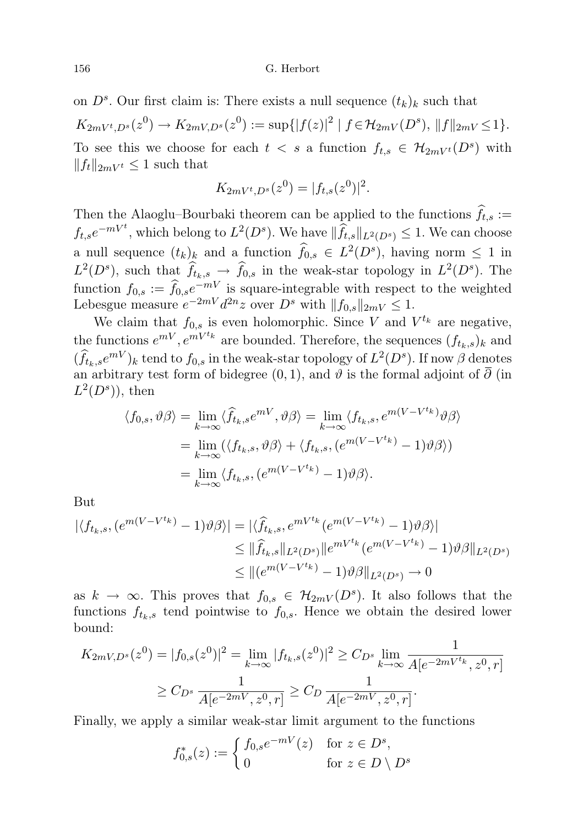on  $D^s$ . Our first claim is: There exists a null sequence  $(t_k)_k$  such that  $K_{2mV^t,D^s}(z^0) \to K_{2mV,D^s}(z^0) := \sup\{|f(z)|^2 \mid f \in \mathcal{H}_{2mV}(D^s), \|f\|_{2mV} \leq 1\}.$ To see this we choose for each  $t \leq s$  a function  $f_{t,s} \in \mathcal{H}_{2mV^t}(D^s)$  with  $||f_t||_{2mV^t} \leq 1$  such that

$$
K_{2mV^t,D^s}(z^0) = |f_{t,s}(z^0)|^2.
$$

Then the Alaoglu–Bourbaki theorem can be applied to the functions  $\hat{f}_{t,s} :=$  $f_{t,s}e^{-mV^t}$ , which belong to  $L^2(D^s)$ . We have  $\|\widehat{f}_{t,s}\|_{L^2(D^s)} \leq 1$ . We can choose a null sequence  $(t_k)_{k}$  and a function  $\widehat{f}_{0,s} \in L^2(D^s)$ , having norm  $\leq 1$  in  $L^2(D^s)$ , such that  $\hat{f}_{t_k,s} \to \hat{f}_{0,s}$  in the weak-star topology in  $L^2(D^s)$ . The function  $f_{0,s} := \hat{f}_{0,s}e^{-mV}$  is square-integrable with respect to the weighted Lebesgue measure  $e^{-2mV}d^{2n}z$  over  $D^s$  with  $||f_{0,s}||_{2mV} \leq 1$ .

We claim that  $f_{0,s}$  is even holomorphic. Since V and  $V^{t_k}$  are negative, the functions  $e^{mV}$ ,  $e^{mV^t k}$  are bounded. Therefore, the sequences  $(f_{t_k,s})_k$  and  $(\widehat{f}_{t_k,s}e^{mV})_k$  tend to  $f_{0,s}$  in the weak-star topology of  $L^2(D^s)$ . If now  $\beta$  denotes an arbitrary test form of bidegree (0, 1), and  $\vartheta$  is the formal adjoint of  $\overline{\partial}$  (in  $L^2(D^s)$ , then

$$
\langle f_{0,s}, \vartheta \beta \rangle = \lim_{k \to \infty} \langle \widehat{f}_{t_k,s} e^{mV}, \vartheta \beta \rangle = \lim_{k \to \infty} \langle f_{t_k,s}, e^{m(V - V^{t_k})} \vartheta \beta \rangle
$$
  
= 
$$
\lim_{k \to \infty} (\langle f_{t_k,s}, \vartheta \beta \rangle + \langle f_{t_k,s}, (e^{m(V - V^{t_k})} - 1) \vartheta \beta \rangle)
$$
  
= 
$$
\lim_{k \to \infty} \langle f_{t_k,s}, (e^{m(V - V^{t_k})} - 1) \vartheta \beta \rangle.
$$

But

$$
|\langle f_{t_k,s}, (e^{m(V-V^{t_k})}-1)\vartheta\beta\rangle| = |\langle \hat{f}_{t_k,s}, e^{mV^{t_k}}(e^{m(V-V^{t_k})}-1)\vartheta\beta\rangle|
$$
  
\n
$$
\leq \|\hat{f}_{t_k,s}\|_{L^2(D^s)} \|e^{mV^{t_k}}(e^{m(V-V^{t_k})}-1)\vartheta\beta\|_{L^2(D^s)}
$$
  
\n
$$
\leq \|(e^{m(V-V^{t_k})}-1)\vartheta\beta\|_{L^2(D^s)} \to 0
$$

as  $k \to \infty$ . This proves that  $f_{0,s} \in \mathcal{H}_{2mV}(D^s)$ . It also follows that the functions  $f_{t_k,s}$  tend pointwise to  $f_{0,s}$ . Hence we obtain the desired lower bound:

$$
K_{2mV,D^s}(z^0) = |f_{0,s}(z^0)|^2 = \lim_{k \to \infty} |f_{t_k,s}(z^0)|^2 \ge C_{D^s} \lim_{k \to \infty} \frac{1}{A[e^{-2mV^t_k}, z^0, r]}
$$
  
 
$$
\ge C_{D^s} \frac{1}{A[e^{-2mV}, z^0, r]} \ge C_D \frac{1}{A[e^{-2mV}, z^0, r]}.
$$

Finally, we apply a similar weak-star limit argument to the functions

$$
f_{0,s}^*(z) := \begin{cases} f_{0,s}e^{-mV}(z) & \text{for } z \in D^s, \\ 0 & \text{for } z \in D \setminus D^s \end{cases}
$$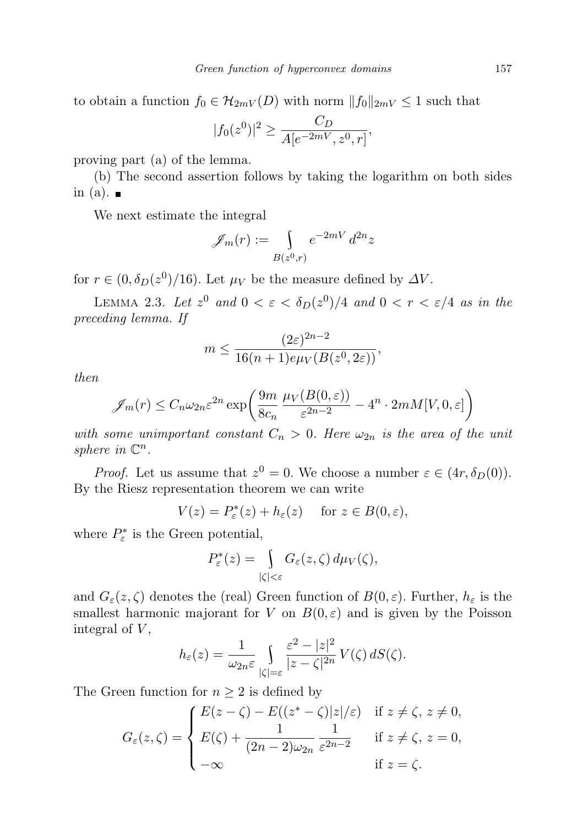to obtain a function  $f_0 \in \mathcal{H}_{2mV}(D)$  with norm  $||f_0||_{2mV} \leq 1$  such that

$$
|f_0(z^0)|^2 \ge \frac{C_D}{A[e^{-2mV}, z^0, r]},
$$

proving part (a) of the lemma.

(b) The second assertion follows by taking the logarithm on both sides in (a).  $\blacksquare$ 

We next estimate the integral

$$
\mathscr{J}_m(r) := \int\limits_{B(z^0,r)} e^{-2mV} d^{2n} z
$$

for  $r \in (0, \delta_D(z^0)/16)$ . Let  $\mu_V$  be the measure defined by  $\Delta V$ .

LEMMA 2.3. Let  $z^0$  and  $0 < \varepsilon < \delta_D(z^0)/4$  and  $0 < r < \varepsilon/4$  as in the preceding lemma. If

$$
m \le \frac{(2\varepsilon)^{2n-2}}{16(n+1)e\mu_V(B(z^0, 2\varepsilon))},
$$

then

$$
\mathscr{J}_m(r) \le C_n \omega_{2n} \varepsilon^{2n} \exp\left(\frac{9m}{8c_n} \frac{\mu_V(B(0,\varepsilon))}{\varepsilon^{2n-2}} - 4^n \cdot 2m M[V,0,\varepsilon]\right)
$$

with some unimportant constant  $C_n > 0$ . Here  $\omega_{2n}$  is the area of the unit sphere in  $\mathbb{C}^n$ .

*Proof.* Let us assume that  $z^0 = 0$ . We choose a number  $\varepsilon \in (4r, \delta_D(0))$ . By the Riesz representation theorem we can write

$$
V(z) = P_{\varepsilon}^*(z) + h_{\varepsilon}(z) \quad \text{ for } z \in B(0, \varepsilon),
$$

where  $P_{\varepsilon}^*$  is the Green potential,

$$
P_{\varepsilon}^*(z) = \int\limits_{|\zeta| < \varepsilon} G_{\varepsilon}(z, \zeta) \, d\mu_V(\zeta),
$$

and  $G_{\varepsilon}(z,\zeta)$  denotes the (real) Green function of  $B(0,\varepsilon)$ . Further,  $h_{\varepsilon}$  is the smallest harmonic majorant for V on  $B(0, \varepsilon)$  and is given by the Poisson integral of  $V$ ,

$$
h_{\varepsilon}(z) = \frac{1}{\omega_{2n}\varepsilon} \int\limits_{|\zeta|=\varepsilon} \frac{\varepsilon^2 - |z|^2}{|z-\zeta|^{2n}} V(\zeta) dS(\zeta).
$$

The Green function for  $n \geq 2$  is defined by

$$
G_{\varepsilon}(z,\zeta) = \begin{cases} E(z-\zeta) - E((z^*-\zeta)|z|/\varepsilon) & \text{if } z \neq \zeta, z \neq 0, \\ E(\zeta) + \frac{1}{(2n-2)\omega_{2n}} \frac{1}{\varepsilon^{2n-2}} & \text{if } z \neq \zeta, z = 0, \\ -\infty & \text{if } z = \zeta. \end{cases}
$$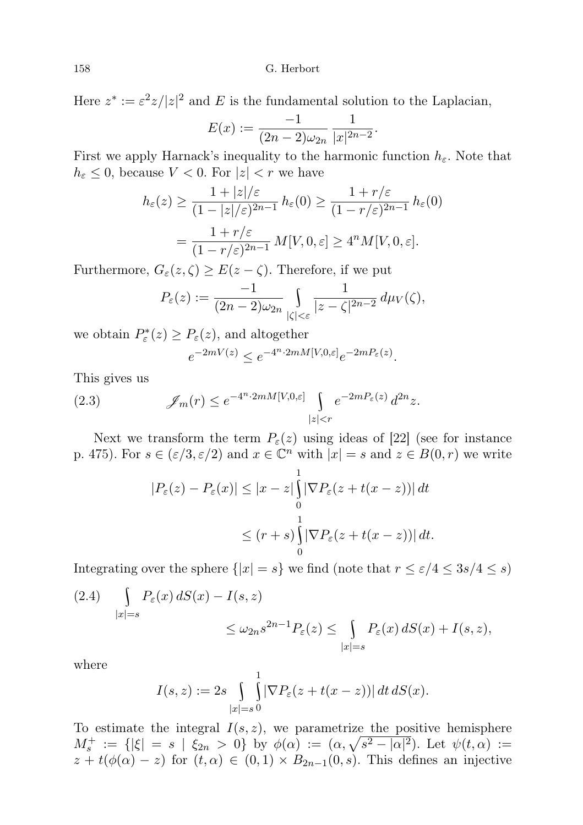Here  $z^* := \varepsilon^2 z / |z|^2$  and E is the fundamental solution to the Laplacian,

$$
E(x) := \frac{-1}{(2n-2)\omega_{2n}} \frac{1}{|x|^{2n-2}}.
$$

First we apply Harnack's inequality to the harmonic function  $h_{\varepsilon}$ . Note that  $h_{\varepsilon} \leq 0$ , because  $V < 0$ . For  $|z| < r$  we have

$$
h_{\varepsilon}(z) \ge \frac{1+|z|/\varepsilon}{(1-|z|/\varepsilon)^{2n-1}} h_{\varepsilon}(0) \ge \frac{1+r/\varepsilon}{(1-r/\varepsilon)^{2n-1}} h_{\varepsilon}(0)
$$

$$
= \frac{1+r/\varepsilon}{(1-r/\varepsilon)^{2n-1}} M[V,0,\varepsilon] \ge 4^n M[V,0,\varepsilon].
$$

Furthermore,  $G_{\varepsilon}(z,\zeta) \geq E(z-\zeta)$ . Therefore, if we put

$$
P_{\varepsilon}(z) := \frac{-1}{(2n-2)\omega_{2n}} \int_{|\zeta| < \varepsilon} \frac{1}{|z - \zeta|^{2n-2}} \, d\mu_V(\zeta),
$$

we obtain  $P_{\varepsilon}^*(z) \ge P_{\varepsilon}(z)$ , and altogether

$$
e^{-2mV(z)} \le e^{-4^n \cdot 2mM[V,0,\varepsilon]} e^{-2mP_\varepsilon(z)}.
$$

This gives us

(2.3) 
$$
\mathscr{J}_m(r) \leq e^{-4^n \cdot 2mM[V,0,\varepsilon]} \int_{|z|
$$

Next we transform the term  $P_{\varepsilon}(z)$  using ideas of [22] (see for instance p. 475). For  $s \in (\varepsilon/3, \varepsilon/2)$  and  $x \in \mathbb{C}^n$  with  $|x| = s$  and  $z \in B(0, r)$  we write

$$
|P_{\varepsilon}(z) - P_{\varepsilon}(x)| \le |x - z| \int_{0}^{1} |\nabla P_{\varepsilon}(z + t(x - z))| dt
$$
  

$$
\le (r + s) \int_{0}^{1} |\nabla P_{\varepsilon}(z + t(x - z))| dt.
$$

Integrating over the sphere  $\{|x| = s\}$  we find (note that  $r \le \varepsilon/4 \le 3s/4 \le s$ )

$$
(2.4) \quad \int\limits_{|x|=s} P_{\varepsilon}(x) dS(x) - I(s, z) \le \omega_{2n} s^{2n-1} P_{\varepsilon}(z) \le \int\limits_{|x|=s} P_{\varepsilon}(x) dS(x) + I(s, z),
$$

where

$$
I(s, z) := 2s \int_{|x|=s} \int_{0}^{1} |\nabla P_{\varepsilon}(z + t(x - z))| dt dS(x).
$$

To estimate the integral  $I(s, z)$ , we parametrize the positive hemisphere  $M_s^+ := \{ |\xi| = s \mid \xi_{2n} > 0 \}$  by  $\phi(\alpha) := (\alpha, \sqrt{s^2 - |\alpha|^2})$ . Let  $\psi(t, \alpha) :=$  $z + t(\phi(\alpha) - z)$  for  $(t, \alpha) \in (0, 1) \times B_{2n-1}(0, s)$ . This defines an injective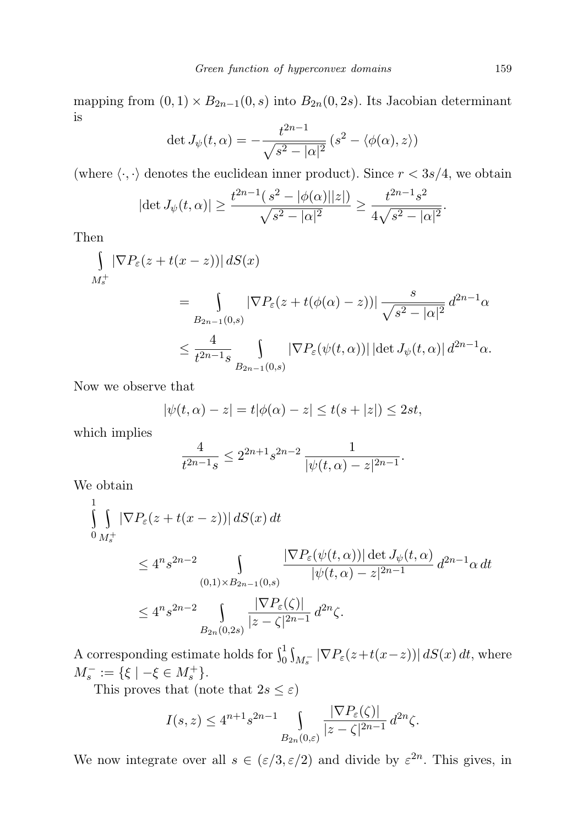mapping from  $(0, 1) \times B_{2n-1}(0, s)$  into  $B_{2n}(0, 2s)$ . Its Jacobian determinant is  $\overline{2}$ 

$$
\det J_{\psi}(t,\alpha) = -\frac{t^{2n-1}}{\sqrt{s^2 - |\alpha|^2}} (s^2 - \langle \phi(\alpha), z \rangle)
$$

(where  $\langle \cdot, \cdot \rangle$  denotes the euclidean inner product). Since  $r < 3s/4$ , we obtain

$$
|\det J_{\psi}(t,\alpha)| \ge \frac{t^{2n-1}(s^2 - |\phi(\alpha)||z|)}{\sqrt{s^2 - |\alpha|^2}} \ge \frac{t^{2n-1}s^2}{4\sqrt{s^2 - |\alpha|^2}}.
$$

Then

$$
\int_{M_s^+} |\nabla P_{\varepsilon}(z + t(x - z))| dS(x)
$$
\n
$$
= \int_{B_{2n-1}(0,s)} |\nabla P_{\varepsilon}(z + t(\phi(\alpha) - z))| \frac{s}{\sqrt{s^2 - |\alpha|^2}} d^{2n-1} \alpha
$$
\n
$$
\leq \frac{4}{t^{2n-1}s} \int_{B_{2n-1}(0,s)} |\nabla P_{\varepsilon}(\psi(t, \alpha))| |\det J_{\psi}(t, \alpha)| d^{2n-1} \alpha.
$$

Now we observe that

$$
|\psi(t, \alpha) - z| = t |\phi(\alpha) - z| \le t(s + |z|) \le 2st,
$$

which implies

$$
\frac{4}{t^{2n-1}s} \le 2^{2n+1}s^{2n-2} \frac{1}{|\psi(t,\alpha)-z|^{2n-1}}.
$$

We obtain

$$
\int_{0}^{1} \int_{M_{s}^{+}} |\nabla P_{\varepsilon}(z+t(x-z))| dS(x) dt
$$
\n
$$
\leq 4^{n} s^{2n-2} \int_{(0,1)\times B_{2n-1}(0,s)} \frac{|\nabla P_{\varepsilon}(\psi(t,\alpha))| d\varepsilon L_{\psi}(t,\alpha)}{|\psi(t,\alpha)-z|^{2n-1}} d^{2n-1} \alpha dt
$$
\n
$$
\leq 4^{n} s^{2n-2} \int_{B_{2n}(0,2s)} \frac{|\nabla P_{\varepsilon}(\zeta)|}{|z-\zeta|^{2n-1}} d^{2n} \zeta.
$$

A corresponding estimate holds for  $\int_0^1 \int_{M_s^-} |\nabla P_{\varepsilon}(z+t(x-z))| dS(x) dt$ , where  $M_s^- := \{ \xi \mid -\xi \in M_s^+ \}.$ 

This proves that (note that  $2s \leq \varepsilon$ )

$$
I(s,z) \le 4^{n+1} s^{2n-1} \int\limits_{B_{2n}(0,\varepsilon)} \frac{|\nabla P_{\varepsilon}(\zeta)|}{|z-\zeta|^{2n-1}} d^{2n}\zeta.
$$

We now integrate over all  $s \in (\varepsilon/3, \varepsilon/2)$  and divide by  $\varepsilon^{2n}$ . This gives, in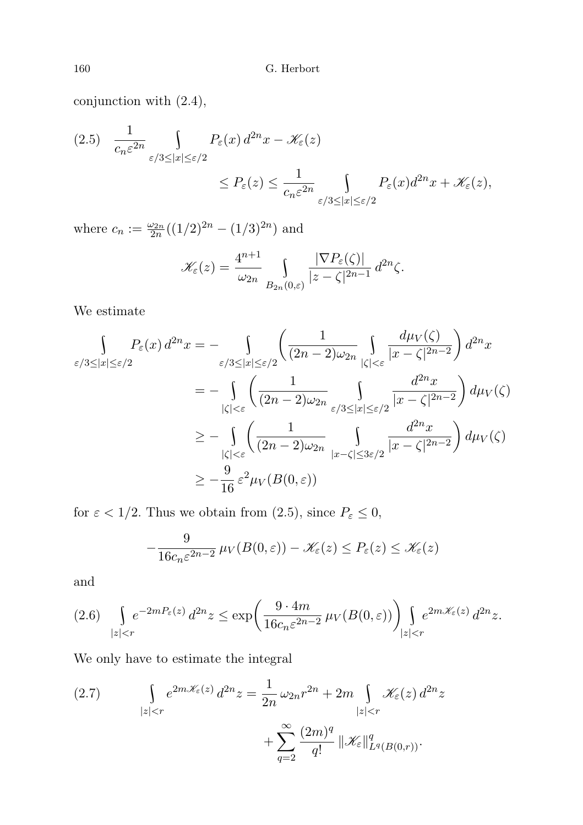conjunction with (2.4),

$$
(2.5) \quad \frac{1}{c_n \varepsilon^{2n}} \int_{\varepsilon/3 \le |x| \le \varepsilon/2} P_{\varepsilon}(x) \, d^{2n}x - \mathcal{K}_{\varepsilon}(z)
$$
\n
$$
\le P_{\varepsilon}(z) \le \frac{1}{c_n \varepsilon^{2n}} \int_{\varepsilon/3 \le |x| \le \varepsilon/2} P_{\varepsilon}(x) \, d^{2n}x + \mathcal{K}_{\varepsilon}(z),
$$

where  $c_n := \frac{\omega_{2n}}{2n}((1/2)^{2n} - (1/3)^{2n})$  and

$$
\mathscr{K}_{\varepsilon}(z) = \frac{4^{n+1}}{\omega_{2n}} \int_{B_{2n}(0,\varepsilon)} \frac{|\nabla P_{\varepsilon}(\zeta)|}{|z-\zeta|^{2n-1}} d^{2n}\zeta.
$$

We estimate

$$
\int_{\varepsilon/3 \leq |x| \leq \varepsilon/2} P_{\varepsilon}(x) d^{2n}x = - \int_{\varepsilon/3 \leq |x| \leq \varepsilon/2} \left( \frac{1}{(2n-2)\omega_{2n}} \int_{|\zeta| < \varepsilon} \frac{d\mu_V(\zeta)}{|x - \zeta|^{2n-2}} \right) d^{2n}x
$$
  
\n
$$
= - \int_{|\zeta| < \varepsilon} \left( \frac{1}{(2n-2)\omega_{2n}} \int_{\varepsilon/3 \leq |x| \leq \varepsilon/2} \frac{d^{2n}x}{|x - \zeta|^{2n-2}} \right) d\mu_V(\zeta)
$$
  
\n
$$
\geq - \int_{|\zeta| < \varepsilon} \left( \frac{1}{(2n-2)\omega_{2n}} \int_{|x - \zeta| \leq 3\varepsilon/2} \frac{d^{2n}x}{|x - \zeta|^{2n-2}} \right) d\mu_V(\zeta)
$$
  
\n
$$
\geq - \frac{9}{16} \varepsilon^2 \mu_V(B(0, \varepsilon))
$$

for  $\varepsilon < 1/2$ . Thus we obtain from (2.5), since  $P_{\varepsilon} \leq 0$ ,

$$
-\frac{9}{16c_n\varepsilon^{2n-2}}\,\mu_V(B(0,\varepsilon))-\mathscr{K}_{\varepsilon}(z)\leq P_{\varepsilon}(z)\leq \mathscr{K}_{\varepsilon}(z)
$$

and

$$
(2.6)\quad \int\limits_{|z|
$$

We only have to estimate the integral

(2.7) 
$$
\int_{|z|< r} e^{2m\mathcal{K}_{\varepsilon}(z)} d^{2n} z = \frac{1}{2n} \omega_{2n} r^{2n} + 2m \int_{|z|< r} \mathcal{K}_{\varepsilon}(z) d^{2n} z + \sum_{q=2}^{\infty} \frac{(2m)^q}{q!} \|\mathcal{K}_{\varepsilon}\|_{L^q(B(0,r))}^q.
$$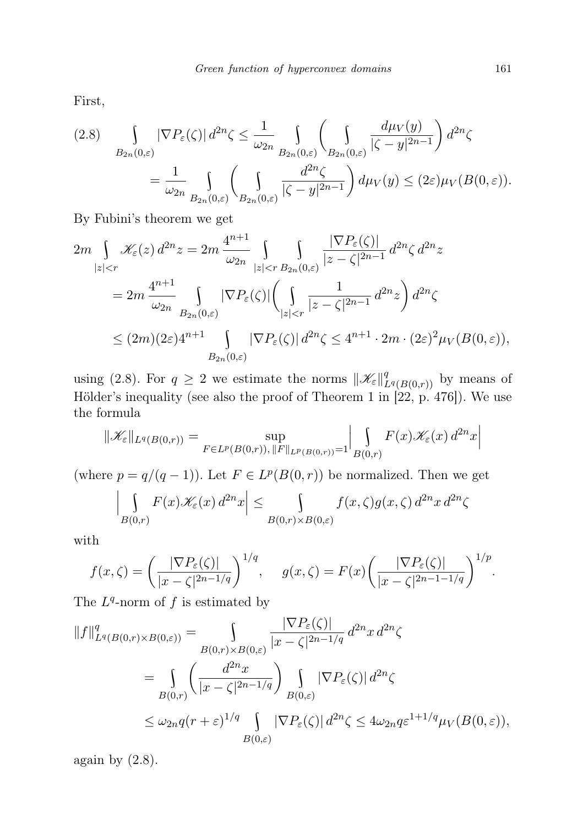First,

$$
(2.8)\qquad \int\limits_{B_{2n}(0,\varepsilon)} |\nabla P_{\varepsilon}(\zeta)| d^{2n} \zeta \leq \frac{1}{\omega_{2n}} \int\limits_{B_{2n}(0,\varepsilon)} \left( \int\limits_{B_{2n}(0,\varepsilon)} \frac{d\mu_V(y)}{|\zeta - y|^{2n-1}} \right) d^{2n} \zeta
$$

$$
= \frac{1}{\omega_{2n}} \int\limits_{B_{2n}(0,\varepsilon)} \left( \int\limits_{B_{2n}(0,\varepsilon)} \frac{d^{2n} \zeta}{|\zeta - y|^{2n-1}} \right) d\mu_V(y) \leq (2\varepsilon)\mu_V(B(0,\varepsilon)).
$$

By Fubini's theorem we get

$$
2m \int_{|z|  

$$
= 2m \frac{4^{n+1}}{\omega_{2n}} \int_{B_{2n}(0,\varepsilon)} |\nabla P_{\varepsilon}(\zeta)| \left(\int_{|z|  

$$
\leq (2m)(2\varepsilon) 4^{n+1} \int_{B_{2n}(0,\varepsilon)} |\nabla P_{\varepsilon}(\zeta)| d^{2n} \zeta \leq 4^{n+1} \cdot 2m \cdot (2\varepsilon)^2 \mu_V(B(0,\varepsilon)),
$$
$$
$$

using (2.8). For  $q \ge 2$  we estimate the norms  $\|\mathscr{K}_{\varepsilon}\|_{L^q(B(0,r))}^q$  by means of Hölder's inequality (see also the proof of Theorem 1 in  $[22, p. 476]$ ). We use the formula  $\mathbf{r}$  $\overline{\phantom{a}}$ 

$$
\|\mathscr{K}_{\varepsilon}\|_{L^{q}(B(0,r))} = \sup_{F \in L^{p}(B(0,r)), \|F\|_{L^{p}(B(0,r))} = 1} \left| \int_{B(0,r)} F(x) \mathscr{K}_{\varepsilon}(x) d^{2n}x \right|
$$

(where  $p = q/(q-1)$ ). Let  $F \in L^p(B(0,r))$  be normalized. Then we get

$$
\left| \int\limits_{B(0,r)} F(x) \mathscr{K}_{\varepsilon}(x) d^{2n} x \right| \leq \int\limits_{B(0,r) \times B(0,\varepsilon)} f(x,\zeta) g(x,\zeta) d^{2n} x d^{2n} \zeta
$$

with

$$
f(x,\zeta) = \left(\frac{|\nabla P_{\varepsilon}(\zeta)|}{|x-\zeta|^{2n-1/q}}\right)^{1/q}, \quad g(x,\zeta) = F(x) \left(\frac{|\nabla P_{\varepsilon}(\zeta)|}{|x-\zeta|^{2n-1-1/q}}\right)^{1/p}.
$$

The  $L^q$ -norm of f is estimated by

$$
||f||_{L^{q}(B(0,r)\times B(0,\varepsilon))}^{q} = \int_{B(0,r)\times B(0,\varepsilon)} \frac{|\nabla P_{\varepsilon}(\zeta)|}{|x-\zeta|^{2n-1/q}} d^{2n}x d^{2n}\zeta
$$
  

$$
= \int_{B(0,r)} \left(\frac{d^{2n}x}{|x-\zeta|^{2n-1/q}}\right) \int_{B(0,\varepsilon)} |\nabla P_{\varepsilon}(\zeta)| d^{2n}\zeta
$$
  

$$
\leq \omega_{2n}q(r+\varepsilon)^{1/q} \int_{B(0,\varepsilon)} |\nabla P_{\varepsilon}(\zeta)| d^{2n}\zeta \leq 4\omega_{2n}q\varepsilon^{1+1/q}\mu_{V}(B(0,\varepsilon)),
$$

again by  $(2.8)$ .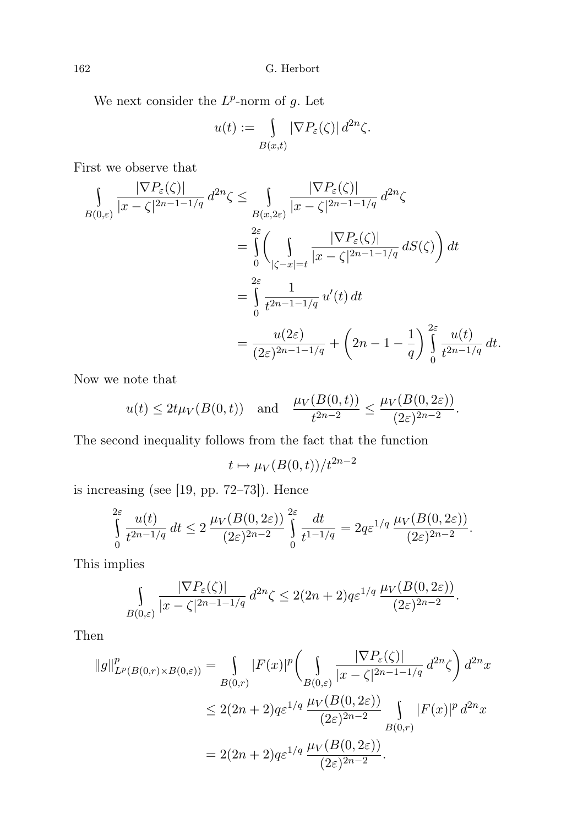We next consider the  $L^p$ -norm of g. Let

$$
u(t) := \int_{B(x,t)} |\nabla P_{\varepsilon}(\zeta)| d^{2n} \zeta.
$$

First we observe that

$$
\int_{B(0,\varepsilon)} \frac{|\nabla P_{\varepsilon}(\zeta)|}{|x-\zeta|^{2n-1-1/q}} d^{2n}\zeta \le \int_{B(x,2\varepsilon)} \frac{|\nabla P_{\varepsilon}(\zeta)|}{|x-\zeta|^{2n-1-1/q}} d^{2n}\zeta
$$

$$
= \int_{0}^{2\varepsilon} \left( \int_{|\zeta-x|=t} \frac{|\nabla P_{\varepsilon}(\zeta)|}{|x-\zeta|^{2n-1-1/q}} dS(\zeta) \right) dt
$$

$$
= \int_{0}^{2\varepsilon} \frac{1}{t^{2n-1-1/q}} u'(t) dt
$$

$$
= \frac{u(2\varepsilon)}{(2\varepsilon)^{2n-1-1/q}} + \left( 2n - 1 - \frac{1}{q} \right) \int_{0}^{2\varepsilon} \frac{u(t)}{t^{2n-1/q}} dt.
$$

Now we note that

$$
u(t) \le 2t\mu_V(B(0,t))
$$
 and  $\frac{\mu_V(B(0,t))}{t^{2n-2}} \le \frac{\mu_V(B(0,2\varepsilon))}{(2\varepsilon)^{2n-2}}$ .

The second inequality follows from the fact that the function

$$
t\mapsto \mu_V(B(0,t))/t^{2n-2}
$$

is increasing (see [19, pp. 72–73]). Hence

$$
\int_{0}^{2\varepsilon} \frac{u(t)}{t^{2n-1/q}} dt \le 2 \frac{\mu_V(B(0, 2\varepsilon))}{(2\varepsilon)^{2n-2}} \int_{0}^{2\varepsilon} \frac{dt}{t^{1-1/q}} = 2q\varepsilon^{1/q} \frac{\mu_V(B(0, 2\varepsilon))}{(2\varepsilon)^{2n-2}}.
$$

This implies

$$
\int_{B(0,\varepsilon)} \frac{|\nabla P_{\varepsilon}(\zeta)|}{|x-\zeta|^{2n-1-1/q}} d^{2n}\zeta \le 2(2n+2)q\varepsilon^{1/q} \frac{\mu_V(B(0,2\varepsilon))}{(2\varepsilon)^{2n-2}}.
$$

Then

$$
\|g\|_{L^p(B(0,r)\times B(0,\varepsilon))}^p = \int_{B(0,r)} |F(x)|^p \left(\int_{B(0,\varepsilon)} \frac{|\nabla P_{\varepsilon}(\zeta)|}{|x-\zeta|^{2n-1-1/q}} d^{2n}\zeta\right) d^{2n}x
$$
  

$$
\leq 2(2n+2)q\varepsilon^{1/q} \frac{\mu_V(B(0,2\varepsilon))}{(2\varepsilon)^{2n-2}} \int_{B(0,r)} |F(x)|^p d^{2n}x
$$
  

$$
= 2(2n+2)q\varepsilon^{1/q} \frac{\mu_V(B(0,2\varepsilon))}{(2\varepsilon)^{2n-2}}.
$$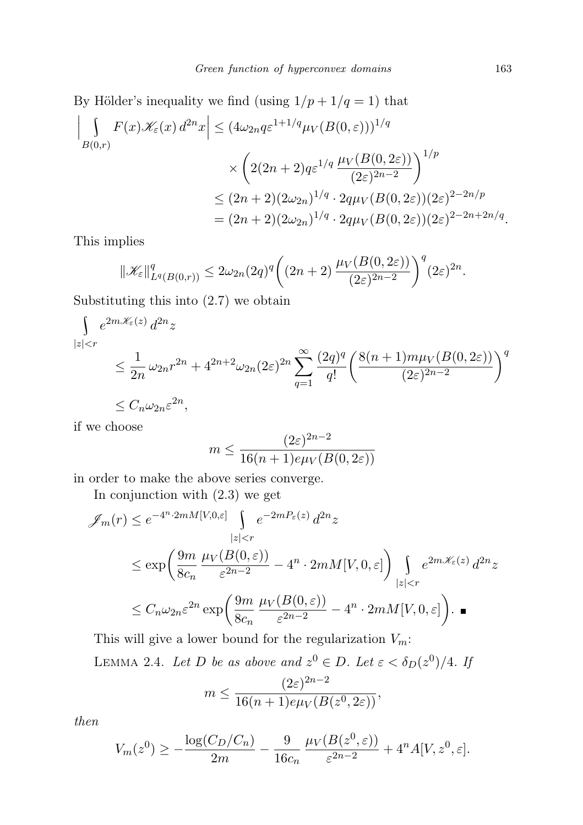By Hölder's inequality we find (using 
$$
1/p + 1/q = 1
$$
) that  
\n
$$
\left| \int_{B(0,r)} F(x) \mathcal{K}_{\varepsilon}(x) d^{2n} x \right| \leq (4\omega_{2n} q \varepsilon^{1+1/q} \mu_V(B(0,\varepsilon)))^{1/q}
$$
\n
$$
\times \left( 2(2n+2) q \varepsilon^{1/q} \frac{\mu_V(B(0,2\varepsilon))}{(2\varepsilon)^{2n-2}} \right)^{1/p}
$$
\n
$$
\leq (2n+2)(2\omega_{2n})^{1/q} \cdot 2q\mu_V(B(0,2\varepsilon))(2\varepsilon)^{2-2n/p}
$$
\n
$$
= (2n+2)(2\omega_{2n})^{1/q} \cdot 2q\mu_V(B(0,2\varepsilon))(2\varepsilon)^{2-2n+2n/q}.
$$

This implies

$$
\|\mathscr{K}_{\varepsilon}\|_{L^q(B(0,r))}^q \le 2\omega_{2n}(2q)^q \bigg((2n+2)\frac{\mu_V(B(0,2\varepsilon))}{(2\varepsilon)^{2n-2}}\bigg)^q (2\varepsilon)^{2n}.
$$

Substituting this into (2.7) we obtain

 $\int e^{2m\mathcal{K}_{\varepsilon}(z)} d^{2n}z$  $|z| < r$  $\leq \frac{1}{2}$  $\frac{1}{2n} \omega_{2n} r^{2n} + 4^{2n+2} \omega_{2n} (2\varepsilon)^{2n} \sum_{n=1}^{\infty}$  $q=1$  $(2q)^{q}$ q!  $\left( \frac{8(n+1)m\mu_V(B(0,2\varepsilon))}{\sigma_E} \right)$  $(2\varepsilon)^{2n-2}$  $\setminus^q$  $\leq C_n \omega_{2n} \varepsilon^{2n},$ 

if we choose

$$
m \le \frac{(2\varepsilon)^{2n-2}}{16(n+1)e\mu_V(B(0,2\varepsilon))}
$$

in order to make the above series converge.

In conjunction with (2.3) we get

$$
\mathscr{J}_m(r) \le e^{-4^n \cdot 2mM[V,0,\varepsilon]} \int_{|z|  

$$
\le \exp\left(\frac{9m}{8c_n} \frac{\mu_V(B(0,\varepsilon))}{\varepsilon^{2n-2}} - 4^n \cdot 2mM[V,0,\varepsilon]\right) \int_{|z|  

$$
\le C_n \omega_{2n} \varepsilon^{2n} \exp\left(\frac{9m}{8c_n} \frac{\mu_V(B(0,\varepsilon))}{\varepsilon^{2n-2}} - 4^n \cdot 2mM[V,0,\varepsilon]\right).
$$
$$
$$

This will give a lower bound for the regularization  $V_m$ :

LEMMA 2.4. Let D be as above and  $z^0 \in D$ . Let  $\varepsilon < \delta_D(z^0)/4$ . If  $m \leq \frac{(2\varepsilon)^{2n-2}}{16(1+1)\sqrt{D}}$  $\frac{(2c)}{16(n+1)e\mu_V(B(z^0,2\varepsilon))},$ 

then

$$
V_m(z^0) \ge -\frac{\log(C_D/C_n)}{2m} - \frac{9}{16c_n} \frac{\mu_V(B(z^0, \varepsilon))}{\varepsilon^{2n-2}} + 4^n A[V, z^0, \varepsilon].
$$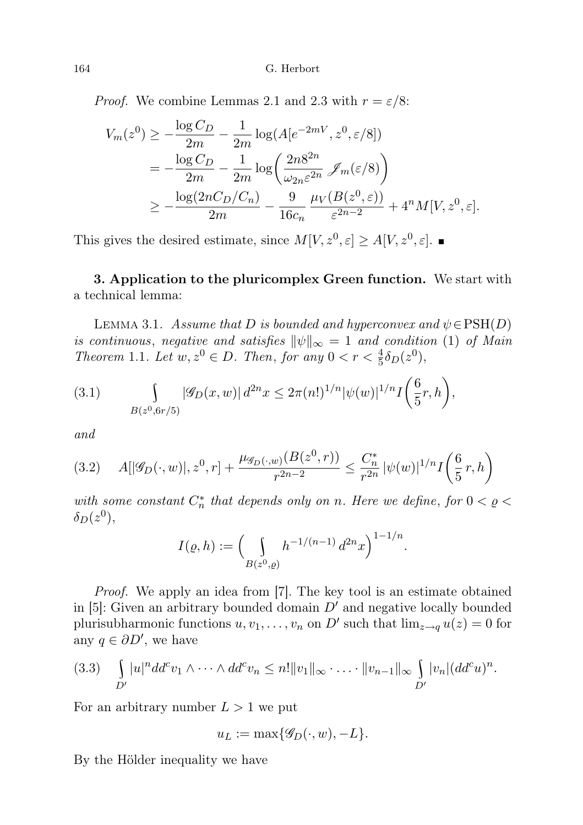*Proof.* We combine Lemmas 2.1 and 2.3 with  $r = \varepsilon/8$ :

$$
V_m(z^0) \ge -\frac{\log C_D}{2m} - \frac{1}{2m} \log(A[e^{-2mV}, z^0, \varepsilon/8])
$$
  
=  $-\frac{\log C_D}{2m} - \frac{1}{2m} \log\left(\frac{2n8^{2n}}{\omega_{2n}\varepsilon^{2n}} \mathscr{J}_m(\varepsilon/8)\right)$   
 $\ge -\frac{\log(2nC_D/C_n)}{2m} - \frac{9}{16c_n} \frac{\mu_V(B(z^0, \varepsilon))}{\varepsilon^{2n-2}} + 4^n M[V, z^0, \varepsilon].$ 

This gives the desired estimate, since  $M[V, z^0, \varepsilon] \ge A[V, z^0, \varepsilon]$ .

3. Application to the pluricomplex Green function. We start with a technical lemma:

LEMMA 3.1. Assume that D is bounded and hyperconvex and  $\psi \in \text{PSH}(D)$ is continuous, negative and satisfies  $\|\psi\|_{\infty} = 1$  and condition (1) of Main Theorem 1.1. Let  $w, z^0 \in D$ . Then, for any  $0 < r < \frac{4}{5}\delta_D(z^0)$ ,

(3.1) 
$$
\int_{B(z^0,6r/5)} |\mathscr{G}_D(x,w)| d^{2n}x \leq 2\pi (n!)^{1/n} |\psi(w)|^{1/n} I\left(\frac{6}{5}r,h\right),
$$

and

$$
(3.2) \quad A[|\mathscr{G}_D(\cdot, w)|, z^0, r] + \frac{\mu_{\mathscr{G}_D(\cdot, w)}(B(z^0, r))}{r^{2n-2}} \le \frac{C_n^*}{r^{2n}} |\psi(w)|^{1/n} I\left(\frac{6}{5}r, h\right)
$$

with some constant  $C_n^*$  that depends only on n. Here we define, for  $0 < \varrho <$  $\delta_D(z^0),$ 

$$
I(\varrho, h) := \left(\int\limits_{B(z^0, \varrho)} h^{-1/(n-1)} d^{2n} x\right)^{1-1/n}.
$$

Proof. We apply an idea from [7]. The key tool is an estimate obtained in  $[5]$ : Given an arbitrary bounded domain  $D'$  and negative locally bounded plurisubharmonic functions  $u, v_1, \ldots, v_n$  on D' such that  $\lim_{z \to q} u(z) = 0$  for any  $q \in \partial D'$ , we have

$$
(3.3) \quad \int\limits_{D'} |u|^n d d^c v_1 \wedge \cdots \wedge d d^c v_n \leq n! \|v_1\|_{\infty} \cdot \ldots \cdot \|v_{n-1}\|_{\infty} \int\limits_{D'} |v_n| (d d^c u)^n.
$$

For an arbitrary number  $L > 1$  we put

$$
u_L := \max\{\mathscr{G}_D(\cdot, w), -L\}.
$$

By the Hölder inequality we have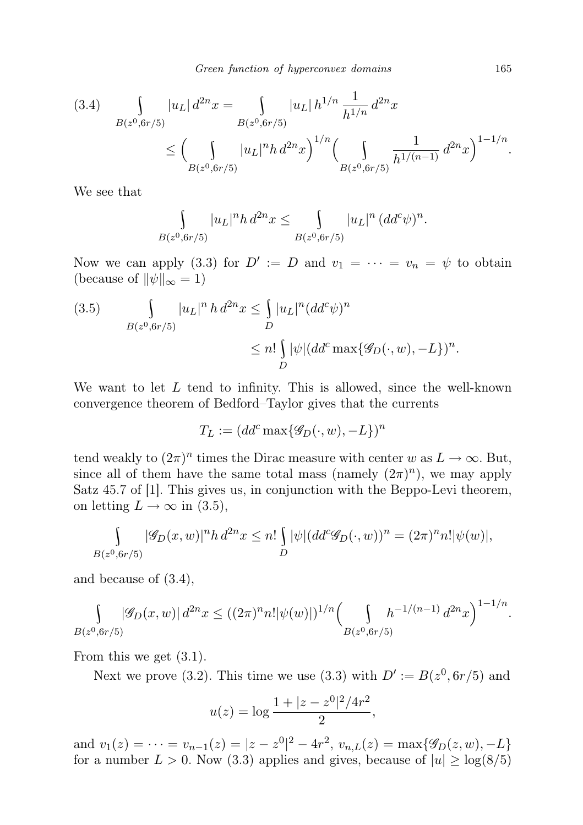$$
(3.4) \quad \int_{B(z^0,6r/5)} |u_L| \, d^{2n}x = \int_{B(z^0,6r/5)} |u_L| \, h^{1/n} \, \frac{1}{h^{1/n}} \, d^{2n}x
$$

$$
\leq \Big(\int_{B(z^0,6r/5)} |u_L|^n h \, d^{2n}x\Big)^{1/n} \Big(\int_{B(z^0,6r/5)} \frac{1}{h^{1/(n-1)}} \, d^{2n}x\Big)^{1-1/n}.
$$

We see that

$$
\int_{B(z^0,6r/5)} |u_L|^n h \, d^{2n}x \le \int_{B(z^0,6r/5)} |u_L|^n \, (dd^c \psi)^n.
$$

Now we can apply (3.3) for  $D' := D$  and  $v_1 = \cdots = v_n = \psi$  to obtain (because of  $\|\psi\|_{\infty} = 1$ )

(3.5) 
$$
\int_{B(z^0,6r/5)} |u_L|^n h d^{2n}x \le \int_D |u_L|^n (dd^c \psi)^n
$$
  
 
$$
\le n! \int_D |\psi| (dd^c \max\{\mathscr{G}_D(\cdot,w), -L\})^n.
$$

We want to let  $L$  tend to infinity. This is allowed, since the well-known convergence theorem of Bedford–Taylor gives that the currents

$$
T_L := (dd^c \max\{\mathscr{G}_D(\cdot, w), -L\})^n
$$

tend weakly to  $(2\pi)^n$  times the Dirac measure with center w as  $L \to \infty$ . But, since all of them have the same total mass (namely  $(2\pi)^n$ ), we may apply Satz 45.7 of [1]. This gives us, in conjunction with the Beppo-Levi theorem, on letting  $L \to \infty$  in (3.5),

$$
\int_{B(z^0,6r/5)} |\mathscr{G}_D(x,w)|^n h \, d^{2n}x \le n! \int_D |\psi| (dd^c \mathscr{G}_D(\cdot,w))^n = (2\pi)^n n! |\psi(w)|,
$$

and because of (3.4),

$$
\int_{B(z^0,6r/5)} |\mathscr{G}_D(x,w)| d^{2n}x \le ((2\pi)^n n! |\psi(w)|)^{1/n} \left(\int_{B(z^0,6r/5)} h^{-1/(n-1)} d^{2n}x\right)^{1-1/n}.
$$

From this we get (3.1).

Next we prove (3.2). This time we use (3.3) with  $D' := B(z^0, 6r/5)$  and

$$
u(z) = \log \frac{1 + |z - z^0|^2 / 4r^2}{2},
$$

and  $v_1(z) = \cdots = v_{n-1}(z) = |z - z^0|^2 - 4r^2$ ,  $v_{n,L}(z) = \max\{\mathscr{G}_D(z,w), -L\}$ for a number  $L > 0$ . Now (3.3) applies and gives, because of  $|u| \geq \log(8/5)$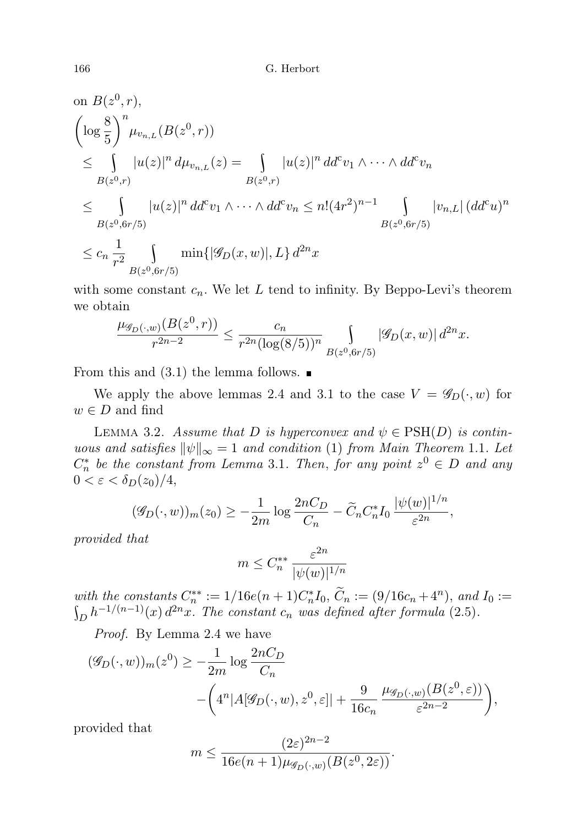on 
$$
B(z^0, r)
$$
,  
\n
$$
\left(\log \frac{8}{5}\right)^n \mu_{v_{n,L}}(B(z^0, r))
$$
\n
$$
\leq \int_{B(z^0, r)} |u(z)|^n d\mu_{v_{n,L}}(z) = \int_{B(z^0, r)} |u(z)|^n d\sigma' v_1 \wedge \cdots \wedge d\sigma' v_n
$$
\n
$$
\leq \int_{B(z^0, 6r/5)} |u(z)|^n d\sigma' v_1 \wedge \cdots \wedge d\sigma' v_n \leq n! (4r^2)^{n-1} \int_{B(z^0, 6r/5)} |v_{n,L}| (d\sigma' u)^n
$$
\n
$$
\leq c_n \frac{1}{r^2} \int_{B(z^0, 6r/5)} \min\{|\mathscr{G}_D(x, w)|, L\} d^{2n}x
$$

with some constant  $c_n$ . We let L tend to infinity. By Beppo-Levi's theorem we obtain

$$
\frac{\mu_{\mathscr{G}_D(\cdot,w)}(B(z^0,r))}{r^{2n-2}} \le \frac{c_n}{r^{2n}(\log(8/5))^n} \int_{B(z^0,6r/5)} |\mathscr{G}_D(x,w)| d^{2n}x.
$$

From this and  $(3.1)$  the lemma follows.

We apply the above lemmas 2.4 and 3.1 to the case  $V = \mathscr{G}_D(\cdot, w)$  for  $w \in D$  and find

LEMMA 3.2. Assume that D is hyperconvex and  $\psi \in \text{PSH}(D)$  is continuous and satisfies  $\|\psi\|_{\infty} = 1$  and condition (1) from Main Theorem 1.1. Let  $C_n^*$  be the constant from Lemma 3.1. Then, for any point  $z^0 \in D$  and any  $0 < \varepsilon < \delta_D(z_0)/4$ ,

$$
(\mathscr{G}_D(\cdot, w))_m(z_0) \ge -\frac{1}{2m} \log \frac{2nC_D}{C_n} - \widetilde{C}_n C_n^* I_0 \frac{|\psi(w)|^{1/n}}{\varepsilon^{2n}},
$$

provided that

$$
m \leq C_n^{**} \, \frac{\varepsilon^{2n}}{|\psi(w)|^{1/n}}
$$

with the constants  $C_n^{**} := 1/16e(n+1)C_n^*I_0$ ,  $\widetilde{C}_n := (9/16c_n + 4^n)$ , and  $I_0 :=$  $\int_D h^{-1/(n-1)}(x) d^{2n}x$ . The constant  $c_n$  was defined after formula (2.5).

Proof. By Lemma 2.4 we have

$$
(\mathscr{G}_D(\cdot, w))_m(z^0) \ge -\frac{1}{2m} \log \frac{2nC_D}{C_n}
$$

$$
-\left(4^n |A[\mathscr{G}_D(\cdot, w), z^0, \varepsilon]| + \frac{9}{16c_n} \frac{\mu_{\mathscr{G}_D(\cdot, w)}(B(z^0, \varepsilon))}{\varepsilon^{2n-2}}\right),
$$

provided that

$$
m \le \frac{(2\varepsilon)^{2n-2}}{16e(n+1)\mu_{\mathscr{G}_D(\cdot,w)}(B(z^0,2\varepsilon))}.
$$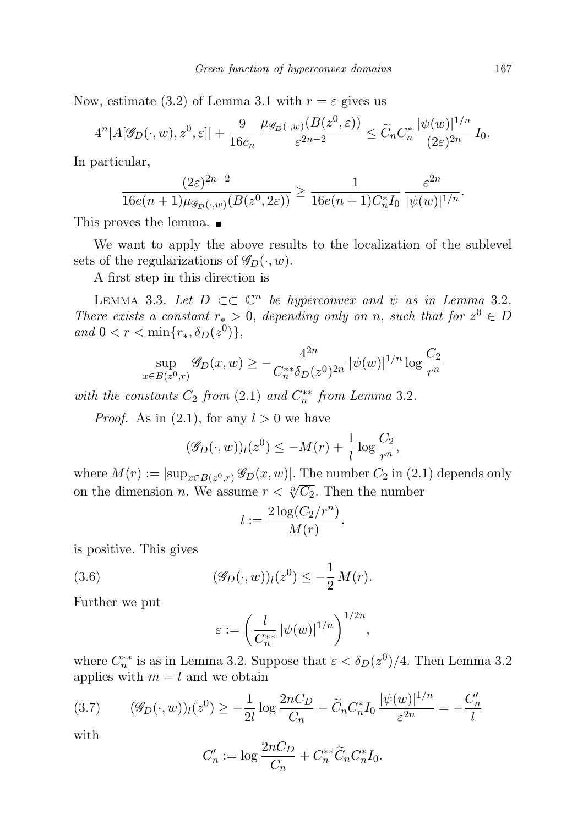Now, estimate (3.2) of Lemma 3.1 with  $r = \varepsilon$  gives us

$$
4^{n}|A[\mathscr{G}_D(\cdot,w),z^0,\varepsilon]|+\frac{9}{16c_n}\frac{\mu_{\mathscr{G}_D(\cdot,w)}(B(z^0,\varepsilon))}{\varepsilon^{2n-2}}\leq \widetilde{C}_nC_n^*\frac{|\psi(w)|^{1/n}}{(2\varepsilon)^{2n}}I_0.
$$

In particular,

$$
\frac{(2\varepsilon)^{2n-2}}{16e(n+1)\mu_{\mathscr{G}_D(\cdot,w)}(B(z^0,2\varepsilon))} \ge \frac{1}{16e(n+1)C_n^*I_0} \frac{\varepsilon^{2n}}{|\psi(w)|^{1/n}}.
$$

This proves the lemma.

We want to apply the above results to the localization of the sublevel sets of the regularizations of  $\mathscr{G}_D(\cdot, w)$ .

A first step in this direction is

LEMMA 3.3. Let  $D \subset\subset \mathbb{C}^n$  be hyperconvex and  $\psi$  as in Lemma 3.2. There exists a constant  $r_* > 0$ , depending only on n, such that for  $z^0 \in D$ and  $0 < r < \min\{r_*, \delta_D(z^0)\},\$ 

$$
\sup_{x \in B(z^0,r)} \mathcal{G}_D(x,w) \ge -\frac{4^{2n}}{C_n^{**} \delta_D(z^0)^{2n}} |\psi(w)|^{1/n} \log \frac{C_2}{r^n}
$$

with the constants  $C_2$  from  $(2.1)$  and  $C_n^{**}$  from Lemma 3.2.

*Proof.* As in  $(2.1)$ , for any  $l > 0$  we have

$$
(\mathscr{G}_D(\cdot, w))_l(z^0) \le -M(r) + \frac{1}{l} \log \frac{C_2}{r^n},
$$

where  $M(r) := |\sup_{x \in B(z^0,r)} \mathscr{G}_D(x,w)|$ . The number  $C_2$  in (2.1) depends only on the dimension *n*. We assume  $r < \sqrt[n]{C_2}$ . Then the number

$$
l := \frac{2\log(C_2/r^n)}{M(r)}.
$$

is positive. This gives

(3.6) 
$$
(\mathscr{G}_D(\cdot, w))_l(z^0) \leq -\frac{1}{2} M(r).
$$

Further we put

$$
\varepsilon := \left(\frac{l}{C_n^{**}} |\psi(w)|^{1/n}\right)^{1/2n},\,
$$

where  $C_n^{**}$  is as in Lemma 3.2. Suppose that  $\varepsilon < \delta_D(z^0)/4$ . Then Lemma 3.2 applies with  $m = l$  and we obtain

$$
(3.7) \qquad (\mathcal{G}_D(\cdot, w))_l(z^0) \ge -\frac{1}{2l} \log \frac{2nC_D}{C_n} - \tilde{C}_n C_n^* I_0 \frac{|\psi(w)|^{1/n}}{\varepsilon^{2n}} = -\frac{C_n'}{l}
$$

with

$$
C'_{n} := \log \frac{2nC_D}{C_n} + C_n^{**} \tilde{C}_n C_n^* I_0.
$$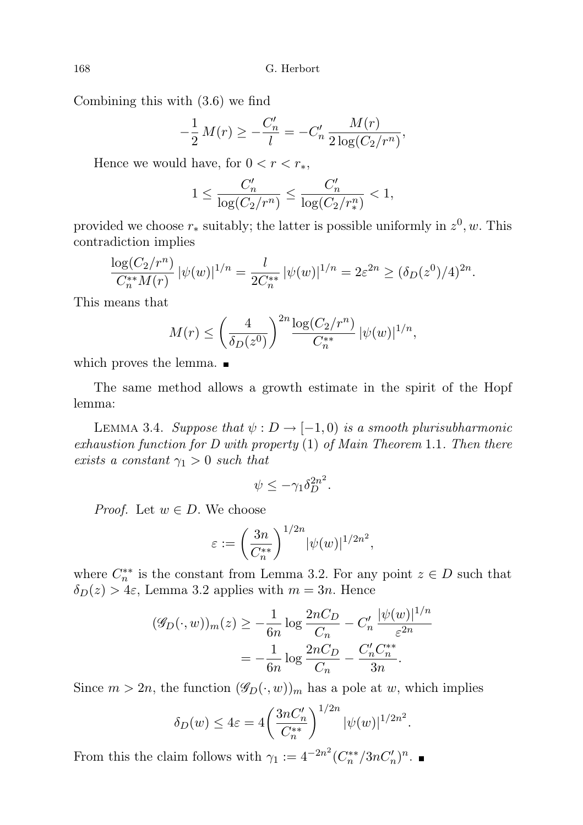Combining this with (3.6) we find

$$
-\frac{1}{2}M(r) \ge -\frac{C'_n}{l} = -C'_n \frac{M(r)}{2\log(C_2/r^n)},
$$

Hence we would have, for  $0 < r < r_*$ ,

$$
1 \leq \frac{C'_n}{\log(C_2/r^n)} \leq \frac{C'_n}{\log(C_2/r^n_*)} < 1,
$$

provided we choose  $r_*$  suitably; the latter is possible uniformly in  $z^0, w$ . This contradiction implies

$$
\frac{\log(C_2/r^n)}{C_n^{**}M(r)} |\psi(w)|^{1/n} = \frac{l}{2C_n^{**}} |\psi(w)|^{1/n} = 2\varepsilon^{2n} \ge (\delta_D(z^0)/4)^{2n}.
$$

This means that

$$
M(r) \le \left(\frac{4}{\delta_D(z^0)}\right)^{2n} \frac{\log(C_2/r^n)}{C_n^{**}} \, |\psi(w)|^{1/n},
$$

which proves the lemma.

The same method allows a growth estimate in the spirit of the Hopf lemma:

LEMMA 3.4. Suppose that  $\psi : D \to [-1,0)$  is a smooth plurisubharmonic exhaustion function for D with property (1) of Main Theorem 1.1. Then there exists a constant  $\gamma_1 > 0$  such that

$$
\psi \le -\gamma_1 \delta_D^{2n^2}.
$$

*Proof.* Let  $w \in D$ . We choose

$$
\varepsilon := \left(\frac{3n}{C_n^{**}}\right)^{1/2n} |\psi(w)|^{1/2n^2},
$$

where  $C_n^{**}$  is the constant from Lemma 3.2. For any point  $z \in D$  such that  $\delta_D(z) > 4\varepsilon$ , Lemma 3.2 applies with  $m = 3n$ . Hence

$$
(\mathscr{G}_D(\cdot, w))_m(z) \ge -\frac{1}{6n} \log \frac{2nC_D}{C_n} - C'_n \frac{|\psi(w)|^{1/n}}{\varepsilon^{2n}}
$$

$$
= -\frac{1}{6n} \log \frac{2nC_D}{C_n} - \frac{C'_n C_n^{**}}{3n}.
$$

Since  $m > 2n$ , the function  $(\mathscr{G}_D(\cdot, w))_m$  has a pole at w, which implies

$$
\delta_D(w) \le 4\varepsilon = 4 \left( \frac{3nC'_n}{C_n^{**}} \right)^{1/2n} |\psi(w)|^{1/2n^2}.
$$

From this the claim follows with  $\gamma_1 := 4^{-2n^2} (C_n^{**}/3nC_n')^n$ .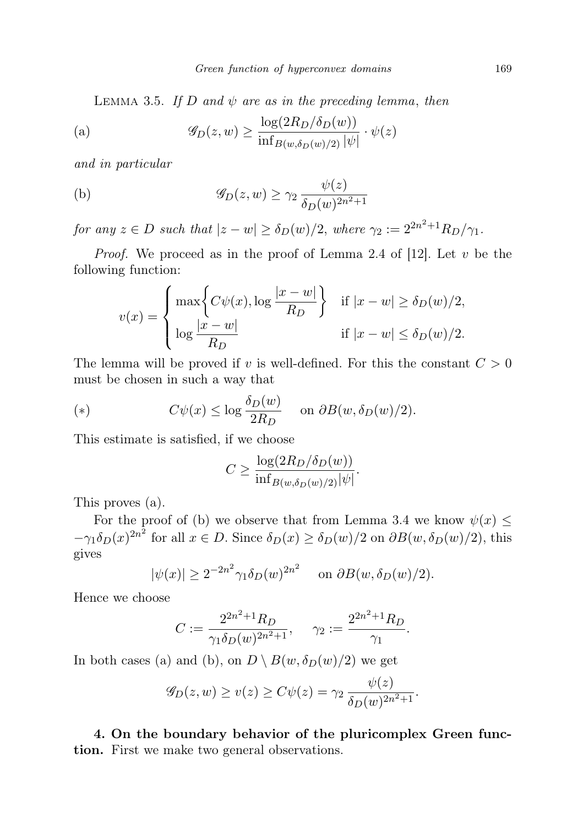LEMMA 3.5. If D and  $\psi$  are as in the preceding lemma, then

(a) 
$$
\mathscr{G}_D(z,w) \geq \frac{\log(2R_D/\delta_D(w))}{\inf_{B(w,\delta_D(w)/2)} |\psi|} \cdot \psi(z)
$$

and in particular

(b) 
$$
\mathscr{G}_D(z,w) \geq \gamma_2 \frac{\psi(z)}{\delta_D(w)^{2n^2+1}}
$$

for any  $z \in D$  such that  $|z - w| \ge \delta_D(w)/2$ , where  $\gamma_2 := 2^{2n^2+1} R_D/\gamma_1$ .

*Proof.* We proceed as in the proof of Lemma 2.4 of [12]. Let  $v$  be the following function:

$$
v(x) = \begin{cases} \max\left\{C\psi(x), \log\frac{|x-w|}{R_D}\right\} & \text{if } |x-w| \ge \delta_D(w)/2, \\ \log\frac{|x-w|}{R_D} & \text{if } |x-w| \le \delta_D(w)/2. \end{cases}
$$

The lemma will be proved if v is well-defined. For this the constant  $C > 0$ must be chosen in such a way that

(\*) 
$$
C\psi(x) \le \log \frac{\delta_D(w)}{2R_D}
$$
 on  $\partial B(w, \delta_D(w)/2)$ .

This estimate is satisfied, if we choose

$$
C \ge \frac{\log(2R_D/\delta_D(w))}{\inf_{B(w,\delta_D(w)/2)} |\psi|}.
$$

This proves (a).

For the proof of (b) we observe that from Lemma 3.4 we know  $\psi(x) \leq$  $-\gamma_1 \delta_D(x)^{2n^2}$  for all  $x \in D$ . Since  $\delta_D(x) \ge \delta_D(w)/2$  on  $\partial B(w, \delta_D(w)/2)$ , this gives

$$
|\psi(x)| \ge 2^{-2n^2} \gamma_1 \delta_D(w)^{2n^2} \quad \text{on } \partial B(w, \delta_D(w)/2).
$$

Hence we choose

$$
C := \frac{2^{2n^2 + 1} R_D}{\gamma_1 \delta_D(w)^{2n^2 + 1}}, \quad \gamma_2 := \frac{2^{2n^2 + 1} R_D}{\gamma_1}.
$$

In both cases (a) and (b), on  $D \setminus B(w, \delta_D(w)/2)$  we get

$$
\mathscr{G}_D(z,w) \ge v(z) \ge C\psi(z) = \gamma_2 \frac{\psi(z)}{\delta_D(w)^{2n^2+1}}.
$$

4. On the boundary behavior of the pluricomplex Green function. First we make two general observations.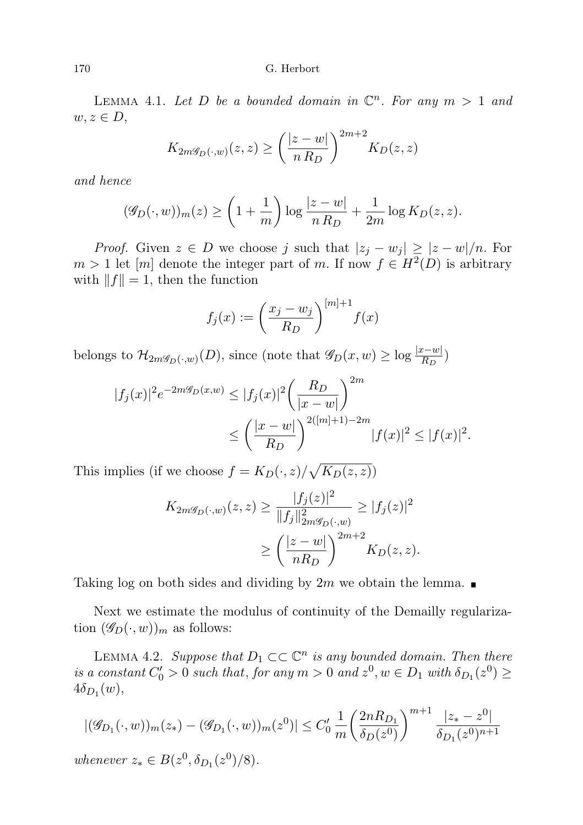LEMMA 4.1. Let D be a bounded domain in  $\mathbb{C}^n$ . For any  $m > 1$  and  $w, z \in D$ ,

$$
K_{2m\mathscr{G}_D(\cdot,w)}(z,z) \ge \left(\frac{|z-w|}{n R_D}\right)^{2m+2} K_D(z,z)
$$

and hence

$$
(\mathscr{G}_D(\cdot, w))_m(z) \ge \left(1 + \frac{1}{m}\right) \log \frac{|z - w|}{n R_D} + \frac{1}{2m} \log K_D(z, z).
$$

*Proof.* Given  $z \in D$  we choose j such that  $|z_j - w_j| \geq |z - w|/n$ . For  $m > 1$  let  $[m]$  denote the integer part of m. If now  $f \in H^2(D)$  is arbitrary with  $||f|| = 1$ , then the function

$$
f_j(x) := \left(\frac{x_j - w_j}{R_D}\right)^{[m]+1} f(x)
$$

belongs to  $\mathcal{H}_{2m\mathscr{G}_D(\cdot,w)}(D)$ , since (note that  $\mathscr{G}_D(x,w) \geq \log \frac{|x-w|}{R_D}$ )

$$
|f_j(x)|^2 e^{-2m\mathscr{G}_D(x,w)} \le |f_j(x)|^2 \left(\frac{R_D}{|x-w|}\right)^{2m}
$$
  

$$
\le \left(\frac{|x-w|}{R_D}\right)^{2(|m|+1)-2m} |f(x)|^2 \le |f(x)|^2.
$$

This implies (if we choose  $f = K_D(\cdot, z) / \sqrt{K_D(z, z)}$ )

$$
K_{2m\mathscr{G}_D(\cdot,w)}(z,z) \ge \frac{|f_j(z)|^2}{\|f_j\|_{2m\mathscr{G}_D(\cdot,w)}^2} \ge |f_j(z)|^2
$$
  

$$
\ge \left(\frac{|z-w|}{nR_D}\right)^{2m+2} K_D(z,z).
$$

Taking log on both sides and dividing by  $2m$  we obtain the lemma.

Next we estimate the modulus of continuity of the Demailly regularization  $(\mathscr{G}_D(\cdot, w))_m$  as follows:

LEMMA 4.2. Suppose that  $D_1 \subset \subset \mathbb{C}^n$  is any bounded domain. Then there is a constant  $C'_0 > 0$  such that, for any  $m > 0$  and  $z^0, w \in D_1$  with  $\delta_{D_1}(z^0) \geq$  $4\delta_{D_1}(w)$ ,

$$
|(\mathcal{G}_{D_1}(\cdot, w))_m(z_*) - (\mathcal{G}_{D_1}(\cdot, w))_m(z^0)| \le C'_0 \frac{1}{m} \left(\frac{2nR_{D_1}}{\delta_D(z^0)}\right)^{m+1} \frac{|z_* - z^0|}{\delta_{D_1}(z^0)^{n+1}}
$$
  
whenever  $z_* \in B(z^0, \delta_{D_1}(z^0)/8)$ .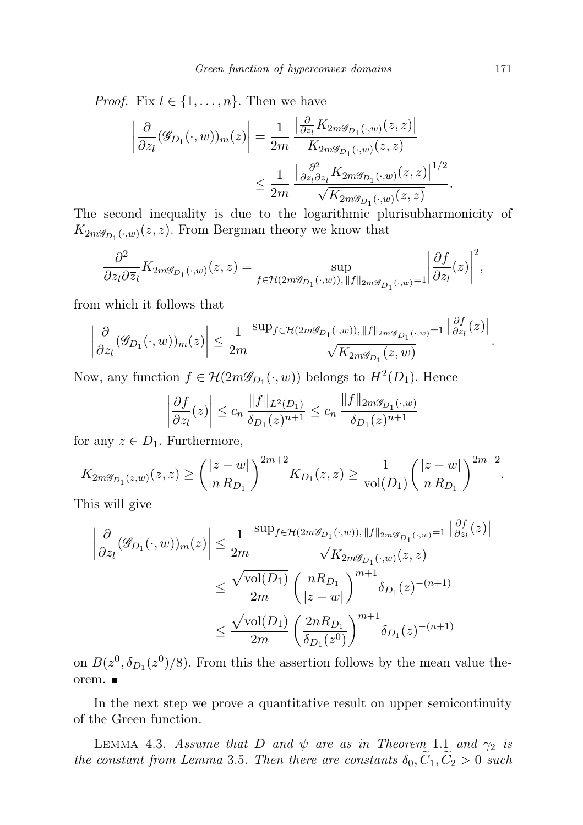*Proof.* Fix  $l \in \{1, \ldots, n\}$ . Then we have

$$
\left| \frac{\partial}{\partial z_l} (\mathcal{G}_{D_1}(\cdot, w))_m(z) \right| = \frac{1}{2m} \frac{\left| \frac{\partial}{\partial z_l} K_{2m \mathcal{G}_{D_1}(\cdot, w)}(z, z) \right|}{K_{2m \mathcal{G}_{D_1}(\cdot, w)}(z, z)} \leq \frac{1}{2m} \frac{\left| \frac{\partial^2}{\partial z_l \partial \overline{z}_l} K_{2m \mathcal{G}_{D_1}(\cdot, w)}(z, z) \right|^{1/2}}{\sqrt{K_{2m \mathcal{G}_{D_1}(\cdot, w)}(z, z)}}.
$$

The second inequality is due to the logarithmic plurisubharmonicity of  $K_{2m\mathscr{G}_{D_1}(\cdot,w)}(z,z)$ . From Bergman theory we know that

$$
\frac{\partial^2}{\partial z_l \partial \overline{z}_l} K_{2m\mathscr{G}_{D_1}(\cdot, w)}(z,z)=\sup_{f\in \mathcal{H}(2m\mathscr{G}_{D_1}(\cdot, w)), \|f\|_{2m\mathscr{G}_{D_1}(\cdot, w)}=1} \bigg|\frac{\partial f}{\partial z_l}(z)\bigg|^2,
$$

from which it follows that

$$
\left|\frac{\partial}{\partial z_l}(\mathscr{G}_{D_1}(\cdot,w))_m(z)\right| \leq \frac{1}{2m} \frac{\sup_{f \in \mathcal{H}(2m\mathscr{G}_{D_1}(\cdot,w)), ||f||_{2m\mathscr{G}_{D_1}(\cdot,w)}} \frac{|\partial f}{|\partial z_l}(z)|}{\sqrt{K_{2m\mathscr{G}_{D_1}}(z,w)}}.
$$

Now, any function  $f \in \mathcal{H}(2m\mathcal{G}_{D_1}(\cdot,w))$  belongs to  $H^2(D_1)$ . Hence

$$
\left| \frac{\partial f}{\partial z_l}(z) \right| \le c_n \frac{\|f\|_{L^2(D_1)}}{\delta_{D_1}(z)^{n+1}} \le c_n \frac{\|f\|_{2m \mathscr{G}_{D_1}(\cdot, w)}}{\delta_{D_1}(z)^{n+1}}
$$

for any  $z \in D_1$ . Furthermore,

$$
K_{2m\mathscr{G}_{D_1}(z,w)}(z,z) \ge \left(\frac{|z-w|}{n R_{D_1}}\right)^{2m+2} K_{D_1}(z,z) \ge \frac{1}{\text{vol}(D_1)} \left(\frac{|z-w|}{n R_{D_1}}\right)^{2m+2}.
$$

This will give

$$
\left| \frac{\partial}{\partial z_l} (\mathcal{G}_{D_1}(\cdot, w))_m(z) \right| \leq \frac{1}{2m} \frac{\sup_{f \in \mathcal{H}(2m\mathcal{G}_{D_1}(\cdot, w)), ||f||_{2m\mathcal{G}_{D_1}(\cdot, w)} = 1} \left| \frac{\partial f}{\partial z_l}(z) \right|}{\sqrt{K_{2m\mathcal{G}_{D_1}(\cdot, w)}(z, z)}} \leq \frac{\sqrt{\text{vol}(D_1)}}{2m} \left( \frac{nR_{D_1}}{|z - w|} \right)^{m+1} \delta_{D_1}(z)^{-(n+1)} \leq \frac{\sqrt{\text{vol}(D_1)}}{2m} \left( \frac{2nR_{D_1}}{\delta_{D_1}(z^0)} \right)^{m+1} \delta_{D_1}(z)^{-(n+1)}
$$

on  $B(z^0, \delta_{D_1}(z^0)/8)$ . From this the assertion follows by the mean value theorem.

In the next step we prove a quantitative result on upper semicontinuity of the Green function.

LEMMA 4.3. Assume that D and  $\psi$  are as in Theorem 1.1 and  $\gamma_2$  is the constant from Lemma 3.5. Then there are constants  $\delta_0, \tilde{C}_1, \tilde{C}_2 > 0$  such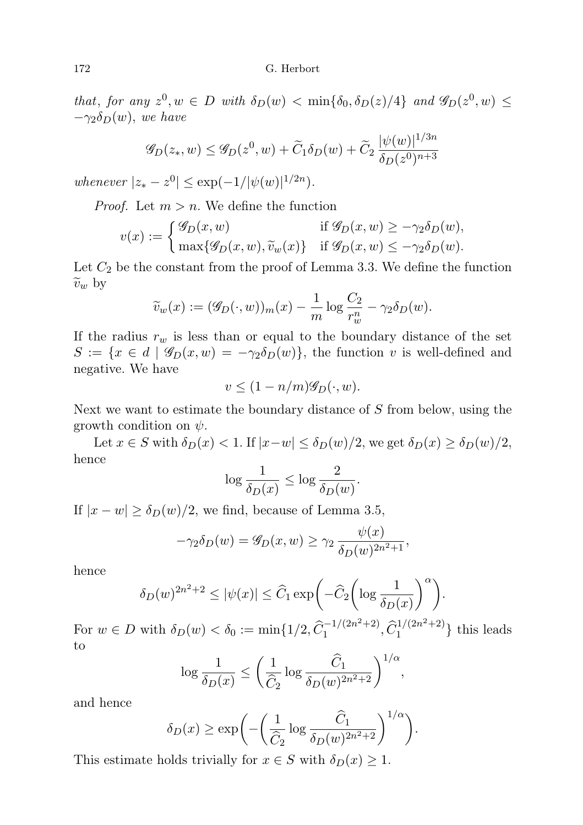that, for any  $z^0, w \in D$  with  $\delta_D(w) < \min{\{\delta_0, \delta_D(z)/4\}}$  and  $\mathscr{G}_D(z^0, w) \leq$  $-\gamma_2 \delta_D(w)$ , we have

$$
\mathscr{G}_D(z_*, w) \le \mathscr{G}_D(z^0, w) + \widetilde{C}_1 \delta_D(w) + \widetilde{C}_2 \frac{|\psi(w)|^{1/3n}}{\delta_D(z^0)^{n+3}}
$$

whenever  $|z_* - z^0| \le \exp(-1/|\psi(w)|^{1/2n}).$ 

*Proof.* Let  $m > n$ . We define the function

$$
v(x) := \begin{cases} \mathcal{G}_D(x, w) & \text{if } \mathcal{G}_D(x, w) \ge -\gamma_2 \delta_D(w), \\ \max\{\mathcal{G}_D(x, w), \widetilde{v}_w(x)\} & \text{if } \mathcal{G}_D(x, w) \le -\gamma_2 \delta_D(w). \end{cases}
$$

Let  $C_2$  be the constant from the proof of Lemma 3.3. We define the function  $\widetilde{v}_w$  by

$$
\widetilde{v}_w(x) := (\mathscr{G}_D(\cdot, w))_m(x) - \frac{1}{m} \log \frac{C_2}{r_w^n} - \gamma_2 \delta_D(w).
$$

If the radius  $r_w$  is less than or equal to the boundary distance of the set  $S := \{x \in d \mid \mathscr{G}_D(x, w) = -\gamma_2 \delta_D(w)\}\$ , the function v is well-defined and negative. We have

$$
v \le (1 - n/m)\mathscr{G}_D(\cdot, w).
$$

Next we want to estimate the boundary distance of S from below, using the growth condition on  $\psi$ .

Let  $x \in S$  with  $\delta_D(x) < 1$ . If  $|x-w| \leq \delta_D(w)/2$ , we get  $\delta_D(x) \geq \delta_D(w)/2$ , hence

$$
\log \frac{1}{\delta_D(x)} \leq \log \frac{2}{\delta_D(w)}.
$$

If  $|x - w| \ge \delta_D(w)/2$ , we find, because of Lemma 3.5,

$$
-\gamma_2 \delta_D(w) = \mathscr{G}_D(x, w) \ge \gamma_2 \frac{\psi(x)}{\delta_D(w)^{2n^2+1}},
$$

hence

$$
\delta_D(w)^{2n^2+2} \le |\psi(x)| \le \widehat{C}_1 \exp\biggl(-\widehat{C}_2 \biggl(\log \frac{1}{\delta_D(x)}\biggr)^{\alpha}\biggr).
$$

For  $w \in D$  with  $\delta_D(w) < \delta_0 := \min\{1/2, \hat{C}_1^{-1/(2n^2+2)}\}$  $\widehat{C}_1^{1/(2n^2+2)}, \widehat{C}_1^{1/(2n^2+2)}$  $\binom{1}{1}$  this leads to

$$
\log \frac{1}{\delta_D(x)} \le \left(\frac{1}{\widehat{C}_2} \log \frac{\widehat{C}_1}{\delta_D(w)^{2n^2+2}}\right)^{1/\alpha},
$$

and hence

$$
\delta_D(x) \ge \exp\left(-\left(\frac{1}{\hat{C}_2}\log \frac{\hat{C}_1}{\delta_D(w)^{2n^2+2}}\right)^{1/\alpha}\right).
$$

This estimate holds trivially for  $x \in S$  with  $\delta_D(x) \geq 1$ .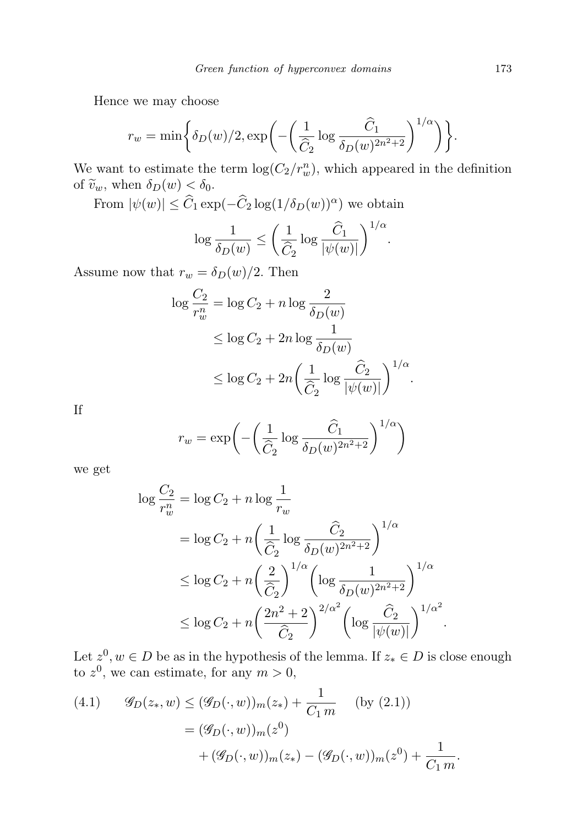Hence we may choose

$$
r_w = \min\bigg\{\delta_D(w)/2, \exp\bigg(-\bigg(\frac{1}{\widehat{C}_2}\log\frac{\widehat{C}_1}{\delta_D(w)^{2n^2+2}}\bigg)^{1/\alpha}\bigg)\bigg\}.
$$

We want to estimate the term  $\log(C_2/r_w^n)$ , which appeared in the definition of  $\tilde{v}_w$ , when  $\delta_D(w) < \delta_0$ .

From  $|\psi(w)| \leq \hat{C}_1 \exp(-\hat{C}_2 \log(1/\delta_D(w))^{\alpha})$  we obtain

$$
\log \frac{1}{\delta_D(w)} \le \bigg(\frac{1}{\widehat{C}_2} \log \frac{\widehat{C}_1}{|\psi(w)|}\bigg)^{1/\alpha}.
$$

Assume now that  $r_w = \delta_D(w)/2$ . Then

$$
\log \frac{C_2}{r_w^n} = \log C_2 + n \log \frac{2}{\delta_D(w)}
$$
  
\n
$$
\leq \log C_2 + 2n \log \frac{1}{\delta_D(w)}
$$
  
\n
$$
\leq \log C_2 + 2n \left(\frac{1}{\widehat{C}_2} \log \frac{\widehat{C}_2}{|\psi(w)|}\right)^{1/\alpha}.
$$

If

$$
r_w = \exp\left(-\left(\frac{1}{\hat{C}_2} \log \frac{\hat{C}_1}{\delta_D(w)^{2n^2+2}}\right)^{1/\alpha}\right)
$$

we get

$$
\log \frac{C_2}{r_w^n} = \log C_2 + n \log \frac{1}{r_w}
$$
  
= 
$$
\log C_2 + n \left(\frac{1}{\hat{C}_2} \log \frac{\hat{C}_2}{\delta_D(w)^{2n^2+2}}\right)^{1/\alpha}
$$
  

$$
\leq \log C_2 + n \left(\frac{2}{\hat{C}_2}\right)^{1/\alpha} \left(\log \frac{1}{\delta_D(w)^{2n^2+2}}\right)^{1/\alpha}
$$
  

$$
\leq \log C_2 + n \left(\frac{2n^2+2}{\hat{C}_2}\right)^{2/\alpha^2} \left(\log \frac{\hat{C}_2}{|\psi(w)|}\right)^{1/\alpha^2}
$$

Let  $z^0, w \in D$  be as in the hypothesis of the lemma. If  $z_* \in D$  is close enough to  $z^0$ , we can estimate, for any  $m > 0$ ,

.

(4.1) 
$$
\mathcal{G}_D(z_*, w) \le (\mathcal{G}_D(\cdot, w))_m(z_*) + \frac{1}{C_1 m} \quad \text{(by (2.1))}
$$

$$
= (\mathcal{G}_D(\cdot, w))_m(z^0)
$$

$$
+ (\mathcal{G}_D(\cdot, w))_m(z_*) - (\mathcal{G}_D(\cdot, w))_m(z^0) + \frac{1}{C_1 m}.
$$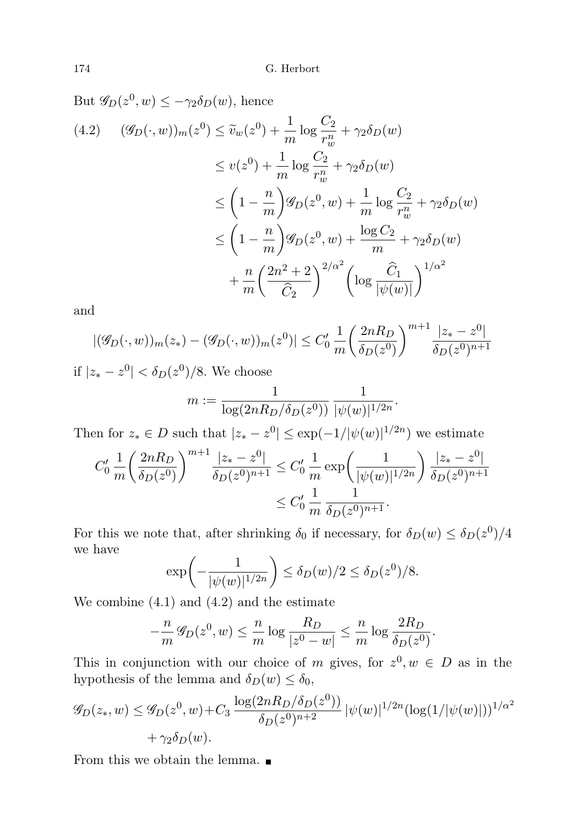But  $\mathscr{G}_D(z^0, w) \leq -\gamma_2 \delta_D(w)$ , hence  $(\mathscr{G}_D(\cdot, w))_m(z^0) \leq \tilde{v}_w(z^0) + \frac{1}{m} \log \frac{C_2}{r_w^n}$  $(4.2)$   $(\mathscr{G}_D(\cdot,w))_m(z^0) \leq \widetilde{v}_w(z^0) + \frac{1}{m} \log \frac{z}{m} + \gamma_2 \delta_D(w)$  $\leq v(z^0) + \frac{1}{m} \log \frac{C_2}{r_w^n} + \gamma_2 \delta_D(w)$  $\ddot{w}$  $\leq \left(1-\frac{n}{n}\right)$ m  $\bigg)$   $\mathscr{G}_D(z^0, w) + \frac{1}{m} \log \frac{C_2}{r_w^n}$  $+\gamma_2\delta_D(w)$  $\leq (1 - \frac{n}{n})$ m  $\left(g_D(z^0, w) + \frac{\log C_2}{m} + \gamma_2 \delta_D(w)\right)$  $+\frac{n}{2}$ m  $(2n^2+2)$  $C_2$  $\bigg)^{2/\alpha^2} \bigg(\log\frac{\widehat{C}_1}{|\psi(w)|}\bigg)$  $\sqrt{\frac{1}{\alpha^2}}$ 

and

$$
|(\mathscr{G}_D(\cdot,w))_m(z_*) - (\mathscr{G}_D(\cdot,w))_m(z^0)| \le C'_0 \frac{1}{m} \left(\frac{2nR_D}{\delta_D(z^0)}\right)^{m+1} \frac{|z_* - z^0|}{\delta_D(z^0)^{n+1}}
$$

if  $|z_* - z^0| < δ_D(z^0)/8$ . We choose

$$
m := \frac{1}{\log(2nR_D/\delta_D(z^0))} \frac{1}{|\psi(w)|^{1/2n}}.
$$

Then for  $z_* \in D$  such that  $|z_* - z^0| \le \exp(-1/|\psi(w)|^{1/2n})$  we estimate

$$
C'_0 \frac{1}{m} \left(\frac{2nR_D}{\delta_D(z^0)}\right)^{m+1} \frac{|z_* - z^0|}{\delta_D(z^0)^{n+1}} \le C'_0 \frac{1}{m} \exp\left(\frac{1}{|\psi(w)|^{1/2n}}\right) \frac{|z_* - z^0|}{\delta_D(z^0)^{n+1}}
$$
  

$$
\le C'_0 \frac{1}{m} \frac{1}{\delta_D(z^0)^{n+1}}.
$$

For this we note that, after shrinking  $\delta_0$  if necessary, for  $\delta_D(w) \leq \delta_D(z^0)/4$ we have

$$
\exp\biggl(-\frac{1}{|\psi(w)|^{1/2n}}\biggr) \leq \delta_D(w)/2 \leq \delta_D(z^0)/8.
$$

We combine (4.1) and (4.2) and the estimate

$$
-\frac{n}{m}\mathscr{G}_D(z^0,w) \le \frac{n}{m}\log\frac{R_D}{|z^0-w|} \le \frac{n}{m}\log\frac{2R_D}{\delta_D(z^0)}.
$$

This in conjunction with our choice of m gives, for  $z^0, w \in D$  as in the hypothesis of the lemma and  $\delta_D(w) \leq \delta_0$ ,

$$
\mathcal{G}_D(z_*, w) \le \mathcal{G}_D(z^0, w) + C_3 \frac{\log(2nR_D/\delta_D(z^0))}{\delta_D(z^0)^{n+2}} |\psi(w)|^{1/2n} (\log(1/|\psi(w)|))^{1/\alpha^2} + \gamma_2 \delta_D(w).
$$

From this we obtain the lemma.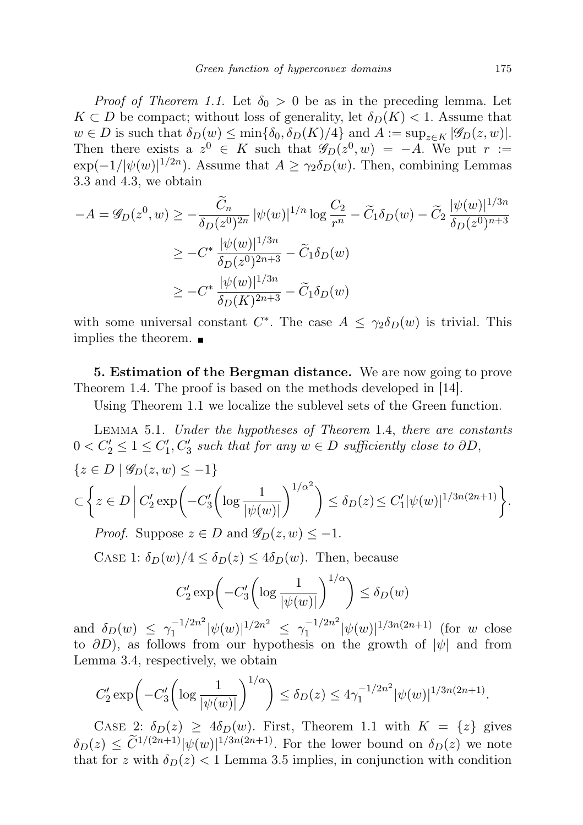*Proof of Theorem 1.1.* Let  $\delta_0 > 0$  be as in the preceding lemma. Let  $K \subset D$  be compact; without loss of generality, let  $\delta_D(K) < 1$ . Assume that  $w \in D$  is such that  $\delta_D(w) \le \min{\{\delta_0, \delta_D(K)/4\}}$  and  $A := \sup_{z \in K} |\mathscr{G}_D(z, w)|$ . Then there exists a  $z^0 \in K$  such that  $\mathscr{G}_D(z^0, w) = -A$ . We put  $r :=$  $\exp(-1/|\psi(w)|^{1/2n})$ . Assume that  $A \geq \gamma_2 \delta_D(w)$ . Then, combining Lemmas 3.3 and 4.3, we obtain

$$
-A = \mathcal{G}_D(z^0, w) \ge -\frac{\widetilde{C}_n}{\delta_D(z^0)^{2n}} |\psi(w)|^{1/n} \log \frac{C_2}{r^n} - \widetilde{C}_1 \delta_D(w) - \widetilde{C}_2 \frac{|\psi(w)|^{1/3n}}{\delta_D(z^0)^{n+3}}
$$
  

$$
\ge -C^* \frac{|\psi(w)|^{1/3n}}{\delta_D(z^0)^{2n+3}} - \widetilde{C}_1 \delta_D(w)
$$
  

$$
\ge -C^* \frac{|\psi(w)|^{1/3n}}{\delta_D(K)^{2n+3}} - \widetilde{C}_1 \delta_D(w)
$$

with some universal constant  $C^*$ . The case  $A \leq \gamma_2 \delta_D(w)$  is trivial. This implies the theorem.  $\blacksquare$ 

5. Estimation of the Bergman distance. We are now going to prove Theorem 1.4. The proof is based on the methods developed in [14].

Using Theorem 1.1 we localize the sublevel sets of the Green function.

Lemma 5.1. Under the hypotheses of Theorem 1.4, there are constants  $0 < C'_2 \leq 1 \leq C'_1, C'_3$  such that for any  $w \in D$  sufficiently close to  $\partial D$ ,

$$
\{z \in D \mid \mathcal{G}_D(z, w) \le -1\}
$$
  

$$
\subset \left\{ z \in D \middle| C'_2 \exp\left(-C'_3 \left(\log \frac{1}{|\psi(w)|}\right)^{1/\alpha^2}\right) \le \delta_D(z) \le C'_1 |\psi(w)|^{1/3n(2n+1)} \right\}.
$$
  
*Proof.* Suppose  $z \in D$  and  $\mathcal{G}_D(z, w) \le -1$ .

CASE 1:  $\delta_D(w)/4 \leq \delta_D(z) \leq 4\delta_D(w)$ . Then, because

$$
C_2' \exp\biggl(-C_3' \biggl(\log \frac{1}{|\psi(w)|}\biggr)^{1/\alpha}\biggr) \le \delta_D(w)
$$

and  $\delta_D(w) \leq \gamma_1^{-1/2n^2}$  $\int_1^{-1/2n^2} |\psi(w)|^{1/2n^2} \leq \gamma_1^{-1/2n^2}$  $\int_1^{-1/2n^2} |\psi(w)|^{1/3n(2n+1)}$  (for w close to  $\partial D$ ), as follows from our hypothesis on the growth of  $|\psi|$  and from Lemma 3.4, respectively, we obtain

$$
C_2' \exp\left(-C_3' \left(\log \frac{1}{|\psi(w)|}\right)^{1/\alpha}\right) \le \delta_D(z) \le 4\gamma_1^{-1/2n^2} |\psi(w)|^{1/3n(2n+1)}.
$$

CASE 2:  $\delta_D(z) \geq 4\delta_D(w)$ . First, Theorem 1.1 with  $K = \{z\}$  gives  $\delta_D(z) \leq \tilde{C}^{1/(2n+1)} |\psi(w)|^{1/3n(2n+1)}$ . For the lower bound on  $\delta_D(z)$  we note that for z with  $\delta_D(z)$  < 1 Lemma 3.5 implies, in conjunction with condition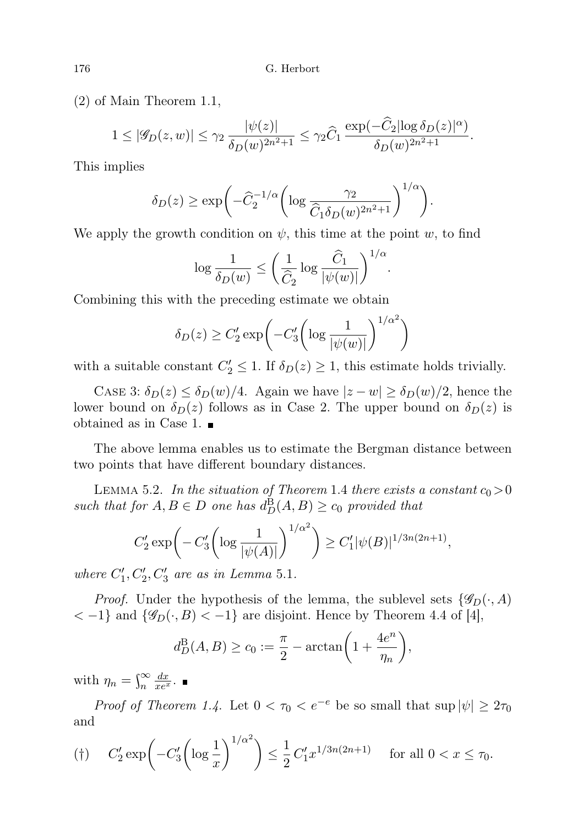(2) of Main Theorem 1.1,

$$
1 \leq |\mathscr{G}_D(z,w)| \leq \gamma_2 \frac{|\psi(z)|}{\delta_D(w)^{2n^2+1}} \leq \gamma_2 \widehat{C}_1 \frac{\exp(-\widehat{C}_2 |\log \delta_D(z)|^{\alpha})}{\delta_D(w)^{2n^2+1}}.
$$

This implies

$$
\delta_D(z) \ge \exp\biggl(-\widehat{C}_2^{-1/\alpha}\biggl(\log \frac{\gamma_2}{\widehat{C}_1 \delta_D(w)^{2n^2+1}}\biggr)^{1/\alpha}\biggr).
$$

We apply the growth condition on  $\psi$ , this time at the point w, to find

$$
\log \frac{1}{\delta_D(w)} \le \bigg(\frac{1}{\widehat{C}_2} \log \frac{\widehat{C}_1}{|\psi(w)|}\bigg)^{1/\alpha}.
$$

Combining this with the preceding estimate we obtain

$$
\delta_D(z) \ge C_2' \exp\left(-C_3' \left(\log \frac{1}{|\psi(w)|}\right)^{1/\alpha^2}\right)
$$

with a suitable constant  $C_2' \leq 1$ . If  $\delta_D(z) \geq 1$ , this estimate holds trivially.

CASE 3:  $\delta_D(z) \leq \delta_D(w)/4$ . Again we have  $|z-w| \geq \delta_D(w)/2$ , hence the lower bound on  $\delta_D(z)$  follows as in Case 2. The upper bound on  $\delta_D(z)$  is obtained as in Case 1.

The above lemma enables us to estimate the Bergman distance between two points that have different boundary distances.

LEMMA 5.2. In the situation of Theorem 1.4 there exists a constant  $c_0 > 0$ such that for  $A, B \in D$  one has  $d_D^B(A, B) \ge c_0$  provided that

$$
C'_2 \exp\left(-C'_3 \left(\log \frac{1}{|\psi(A)|}\right)^{1/\alpha^2}\right) \ge C'_1 |\psi(B)|^{1/3n(2n+1)},
$$

where  $C'_1, C'_2, C'_3$  are as in Lemma 5.1.

*Proof.* Under the hypothesis of the lemma, the sublevel sets  $\{\mathscr{G}_D(\cdot, A)\}$ < −1} and  $\{\mathscr{G}_D(\cdot, B)$  < −1} are disjoint. Hence by Theorem 4.4 of [4],

$$
d_D^{\mathrm{B}}(A,B) \ge c_0 := \frac{\pi}{2} - \arctan\left(1 + \frac{4e^n}{\eta_n}\right),
$$

with  $\eta_n = \int_n^{\infty}$  $\frac{dx}{xe^x}$ .

*Proof of Theorem 1.4.* Let  $0 < \tau_0 < e^{-e}$  be so small that  $\sup |\psi| \geq 2\tau_0$ and

$$
(\dagger) \qquad C_2' \exp\left(-C_3' \left(\log \frac{1}{x}\right)^{1/\alpha^2}\right) \le \frac{1}{2} C_1' x^{1/3n(2n+1)} \qquad \text{for all } 0 < x \le \tau_0.
$$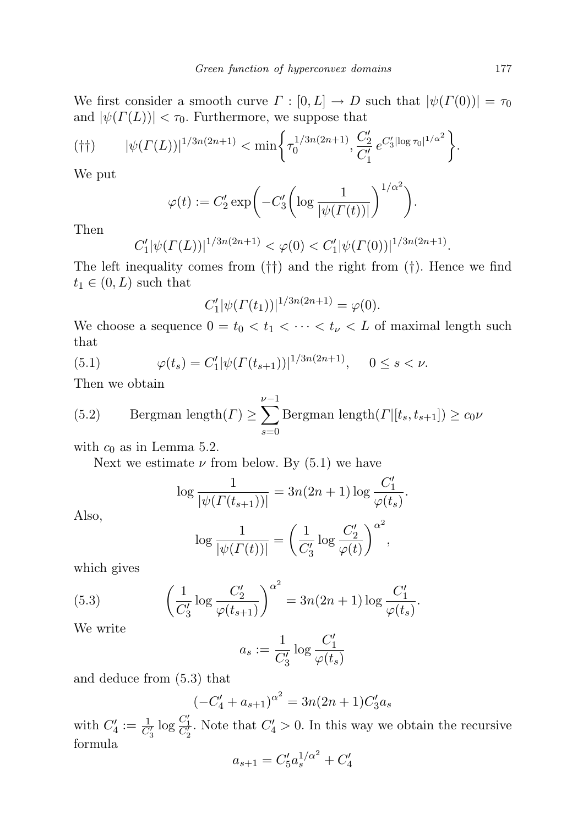We first consider a smooth curve  $\Gamma : [0, L] \to D$  such that  $|\psi(\Gamma(0))| = \tau_0$ and  $|\psi(\Gamma(L))| < \tau_0$ . Furthermore, we suppose that

$$
(\dagger\dagger) \qquad |\psi(\Gamma(L))|^{1/3n(2n+1)} < \min\bigg\{\tau_0^{1/3n(2n+1)}, \frac{C_2'}{C_1'}e^{C_3'[\log \tau_0]^{1/\alpha^2}}\bigg\}.
$$

We put

$$
\varphi(t) := C_2' \exp\biggl(-C_3' \biggl(\log \frac{1}{|\psi(\Gamma(t))|}\biggr)^{1/\alpha^2}\biggr).
$$

Then

$$
C_1' |\psi(\Gamma(L))|^{1/3n(2n+1)} < \varphi(0) < C_1' |\psi(\Gamma(0))|^{1/3n(2n+1)}.
$$

The left inequality comes from  $(\dagger)$  and the right from  $(\dagger)$ . Hence we find  $t_1 \in (0, L)$  such that

$$
C'_{1}|\psi(\Gamma(t_{1}))|^{1/3n(2n+1)} = \varphi(0).
$$

We choose a sequence  $0 = t_0 < t_1 < \cdots < t_{\nu} < L$  of maximal length such that

(5.1) 
$$
\varphi(t_s) = C'_1 |\psi(\Gamma(t_{s+1}))|^{1/3n(2n+1)}, \quad 0 \le s < \nu.
$$

Then we obtain

(5.2) Bergman length(
$$
\Gamma
$$
)  $\geq \sum_{s=0}^{\nu-1}$ Bergman length( $\Gamma$  | [ $t_s, t_{s+1}$ ])  $\geq c_0 \nu$ 

with  $c_0$  as in Lemma 5.2.

Next we estimate  $\nu$  from below. By (5.1) we have

$$
\log \frac{1}{|\psi(\Gamma(t_{s+1}))|} = 3n(2n+1)\log \frac{C_1'}{\varphi(t_s)}.
$$

Also,

$$
\log \frac{1}{|\psi(\Gamma(t))|} = \left(\frac{1}{C_3'} \log \frac{C_2'}{\varphi(t)}\right)^{\alpha^2},\,
$$

which gives

(5.3) 
$$
\left(\frac{1}{C'_3}\log\frac{C'_2}{\varphi(t_{s+1})}\right)^{\alpha^2} = 3n(2n+1)\log\frac{C'_1}{\varphi(t_s)}.
$$

We write

$$
a_s:=\frac{1}{C_3'}\log\frac{C_1'}{\varphi(t_s)}
$$

and deduce from (5.3) that

$$
(-C'_4 + a_{s+1})^{\alpha^2} = 3n(2n+1)C'_3a_s
$$

with  $C'_4 := \frac{1}{C'_3} \log \frac{C'_1}{C'_2}$ . Note that  $C'_4 > 0$ . In this way we obtain the recursive formula

$$
a_{s+1} = C_5' a_s^{1/\alpha^2} + C_4'
$$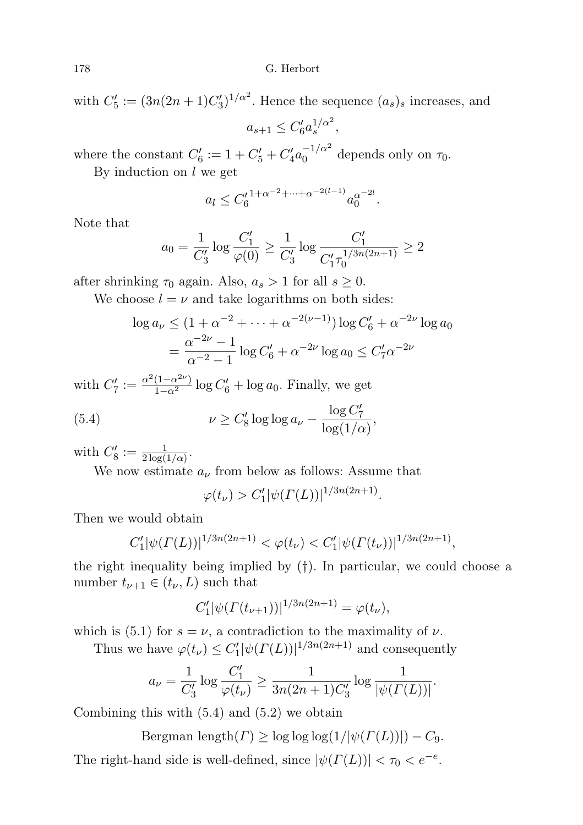with  $C_5' := (3n(2n+1)C_3')^{1/\alpha^2}$ . Hence the sequence  $(a_s)_s$  increases, and

$$
a_{s+1} \le C_6' a_s^{1/\alpha^2},
$$

where the constant  $C'_6 := 1 + C'_5 + C'_4 a_0^{-1/\alpha^2}$  $\frac{-1}{\alpha}$  depends only on  $\tau_0$ .

By induction on  $l$  we get

$$
a_l \leq C_6'^{\, 1 + \alpha^{-2} + \dots + \alpha^{-2(l-1)}} a_0^{\alpha^{-2l}}.
$$

Note that

$$
a_0 = \frac{1}{C'_3} \log \frac{C'_1}{\varphi(0)} \ge \frac{1}{C'_3} \log \frac{C'_1}{C'_1 \tau_0^{1/3n(2n+1)}} \ge 2
$$

after shrinking  $\tau_0$  again. Also,  $a_s > 1$  for all  $s \geq 0$ .

We choose  $l = \nu$  and take logarithms on both sides:

$$
\log a_{\nu} \le (1 + \alpha^{-2} + \dots + \alpha^{-2(\nu - 1)}) \log C'_6 + \alpha^{-2\nu} \log a_0
$$
  
=  $\frac{\alpha^{-2\nu} - 1}{\alpha^{-2} - 1} \log C'_6 + \alpha^{-2\nu} \log a_0 \le C'_7 \alpha^{-2\nu}$ 

with  $C'_7 := \frac{\alpha^2 (1 - \alpha^{2\nu})}{1 - \alpha^2} \log C'_6 + \log a_0$ . Finally, we get

(5.4) 
$$
\nu \geq C_8' \log \log a_\nu - \frac{\log C_7'}{\log(1/\alpha)},
$$

with  $C'_8 := \frac{1}{2 \log(1/\alpha)}$ .

We now estimate  $a_{\nu}$  from below as follows: Assume that

 $\varphi(t_\nu) > C_1' |\psi(\Gamma(L))|^{1/3n(2n+1)}.$ 

Then we would obtain

$$
C'_1|\psi(\Gamma(L))|^{1/3n(2n+1)} < \varphi(t_\nu) < C'_1|\psi(\Gamma(t_\nu))|^{1/3n(2n+1)},
$$

the right inequality being implied by (†). In particular, we could choose a number  $t_{\nu+1} \in (t_{\nu}, L)$  such that

$$
C'_{1}|\psi(\Gamma(t_{\nu+1}))|^{1/3n(2n+1)} = \varphi(t_{\nu}),
$$

which is (5.1) for  $s = \nu$ , a contradiction to the maximality of  $\nu$ .

Thus we have  $\varphi(t_\nu) \leq C_1' |\psi(\Gamma(L))|^{1/3n(2n+1)}$  and consequently

$$
a_{\nu} = \frac{1}{C_3'} \log \frac{C_1'}{\varphi(t_{\nu})} \ge \frac{1}{3n(2n+1)C_3'} \log \frac{1}{|\psi(\Gamma(L))|}.
$$

Combining this with  $(5.4)$  and  $(5.2)$  we obtain

Bergman length $(\Gamma) \geq \log \log \log(1/|\psi(\Gamma(L))|) - C_9.$ 

The right-hand side is well-defined, since  $|\psi(\Gamma(L))| < \tau_0 < e^{-e}$ .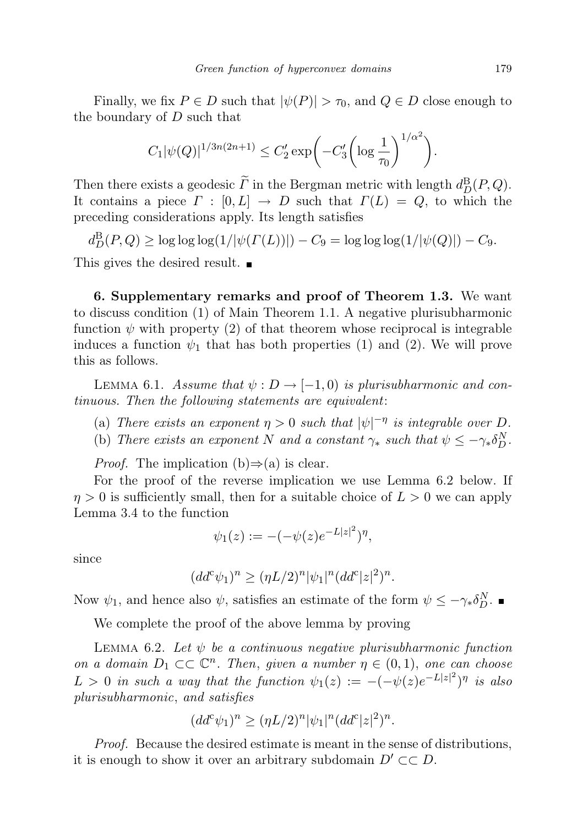Finally, we fix  $P \in D$  such that  $|\psi(P)| > \tau_0$ , and  $Q \in D$  close enough to the boundary of  $D$  such that

$$
C_1|\psi(Q)|^{1/3n(2n+1)} \le C'_2 \exp\left(-C'_3 \left(\log \frac{1}{\tau_0}\right)^{1/\alpha^2}\right).
$$

Then there exists a geodesic  $\overline{\Gamma}$  in the Bergman metric with length  $d_D^{\text{B}}(P,Q)$ . It contains a piece  $\Gamma : [0, L] \to D$  such that  $\Gamma(L) = Q$ , to which the preceding considerations apply. Its length satisfies

 $d_D^B(P,Q) \ge \log \log \log(1/|\psi(\Gamma(L))|) - C_9 = \log \log \log(1/|\psi(Q)|) - C_9.$ 

This gives the desired result.

6. Supplementary remarks and proof of Theorem 1.3. We want to discuss condition (1) of Main Theorem 1.1. A negative plurisubharmonic function  $\psi$  with property (2) of that theorem whose reciprocal is integrable induces a function  $\psi_1$  that has both properties (1) and (2). We will prove this as follows.

LEMMA 6.1. Assume that  $\psi : D \to [-1,0)$  is plurisubharmonic and continuous. Then the following statements are equivalent:

- (a) There exists an exponent  $\eta > 0$  such that  $|\psi|^{-\eta}$  is integrable over D.
- (b) There exists an exponent N and a constant  $\gamma_*$  such that  $\psi \leq -\gamma_* \delta_D^N$ .

*Proof.* The implication  $(b) \Rightarrow (a)$  is clear.

For the proof of the reverse implication we use Lemma 6.2 below. If  $\eta > 0$  is sufficiently small, then for a suitable choice of  $L > 0$  we can apply Lemma 3.4 to the function

$$
\psi_1(z) := -(-\psi(z)e^{-L|z|^2})^{\eta},
$$

since

$$
(dd^c \psi_1)^n \ge (\eta L/2)^n |\psi_1|^n (dd^c |z|^2)^n.
$$

Now  $\psi_1$ , and hence also  $\psi$ , satisfies an estimate of the form  $\psi \leq -\gamma_* \delta_D^N$ .

We complete the proof of the above lemma by proving

LEMMA 6.2. Let  $\psi$  be a continuous negative plurisubharmonic function on a domain  $D_1 \subset \subset \mathbb{C}^n$ . Then, given a number  $\eta \in (0,1)$ , one can choose  $L > 0$  in such a way that the function  $\psi_1(z) := -(-\psi(z)e^{-L|z|^2})^{\eta}$  is also plurisubharmonic, and satisfies

$$
(dd^c \psi_1)^n \ge (\eta L/2)^n |\psi_1|^n (dd^c |z|^2)^n.
$$

Proof. Because the desired estimate is meant in the sense of distributions, it is enough to show it over an arbitrary subdomain  $D' \subset\subset D$ .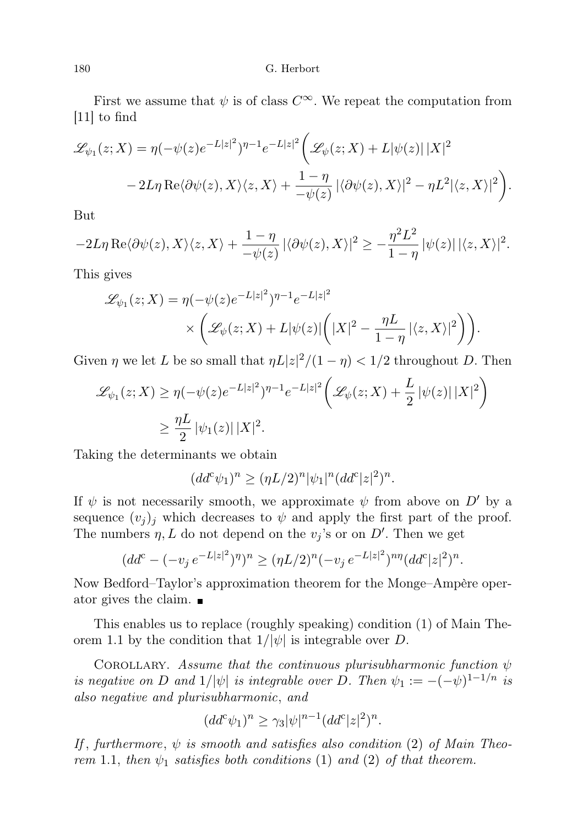First we assume that  $\psi$  is of class  $C^{\infty}$ . We repeat the computation from [11] to find

$$
\mathcal{L}_{\psi_1}(z;X) = \eta(-\psi(z)e^{-L|z|^2})^{\eta-1}e^{-L|z|^2}\bigg(\mathcal{L}_{\psi}(z;X) + L|\psi(z)||X|^2
$$
  
- 2L\eta \text{Re}\langle\partial\psi(z),X\rangle\langle z,X\rangle + \frac{1-\eta}{-\psi(z)}|\langle\partial\psi(z),X\rangle|^2 - \eta L^2|\langle z,X\rangle|^2\bigg).

But

$$
-2L\eta \operatorname{Re}\langle \partial \psi(z), X \rangle \langle z, X \rangle + \frac{1-\eta}{-\psi(z)} |\langle \partial \psi(z), X \rangle|^2 \ge -\frac{\eta^2 L^2}{1-\eta} |\psi(z)| |\langle z, X \rangle|^2.
$$

This gives

$$
\mathcal{L}_{\psi_1}(z;X) = \eta(-\psi(z)e^{-L|z|^2})^{\eta-1}e^{-L|z|^2}
$$

$$
\times \left(\mathcal{L}_{\psi}(z;X) + L|\psi(z)|\left(|X|^2 - \frac{\eta L}{1-\eta}|\langle z,X\rangle|^2\right)\right).
$$

Given  $\eta$  we let L be so small that  $\eta L |z|^2/(1 - \eta) < 1/2$  throughout D. Then

$$
\mathcal{L}_{\psi_1}(z;X) \ge \eta(-\psi(z)e^{-L|z|^2})^{\eta-1}e^{-L|z|^2}\left(\mathcal{L}_{\psi}(z;X) + \frac{L}{2}|\psi(z)|\,|X|^2\right)
$$
  

$$
\ge \frac{\eta L}{2}|\psi_1(z)|\,|X|^2.
$$

Taking the determinants we obtain

$$
(dd^c \psi_1)^n \ge (\eta L/2)^n |\psi_1|^n (dd^c |z|^2)^n.
$$

If  $\psi$  is not necessarily smooth, we approximate  $\psi$  from above on D' by a sequence  $(v_j)_j$  which decreases to  $\psi$  and apply the first part of the proof. The numbers  $\eta, L$  do not depend on the  $v_j$ 's or on D'. Then we get

$$
(dd^c - (-v_j e^{-L|z|^2})^{\eta})^n \ge (\eta L/2)^n (-v_j e^{-L|z|^2})^{n\eta} (dd^c |z|^2)^n.
$$

Now Bedford–Taylor's approximation theorem for the Monge–Ampère operator gives the claim.

This enables us to replace (roughly speaking) condition (1) of Main Theorem 1.1 by the condition that  $1/|\psi|$  is integrable over D.

COROLLARY. Assume that the continuous plurisubharmonic function  $\psi$ is negative on D and  $1/|\psi|$  is integrable over D. Then  $\psi_1 := -(-\psi)^{1-1/n}$  is also negative and plurisubharmonic, and

$$
(dd^c \psi_1)^n \ge \gamma_3 |\psi|^{n-1} (dd^c |z|^2)^n.
$$

If, furthermore,  $\psi$  is smooth and satisfies also condition (2) of Main Theorem 1.1, then  $\psi_1$  satisfies both conditions (1) and (2) of that theorem.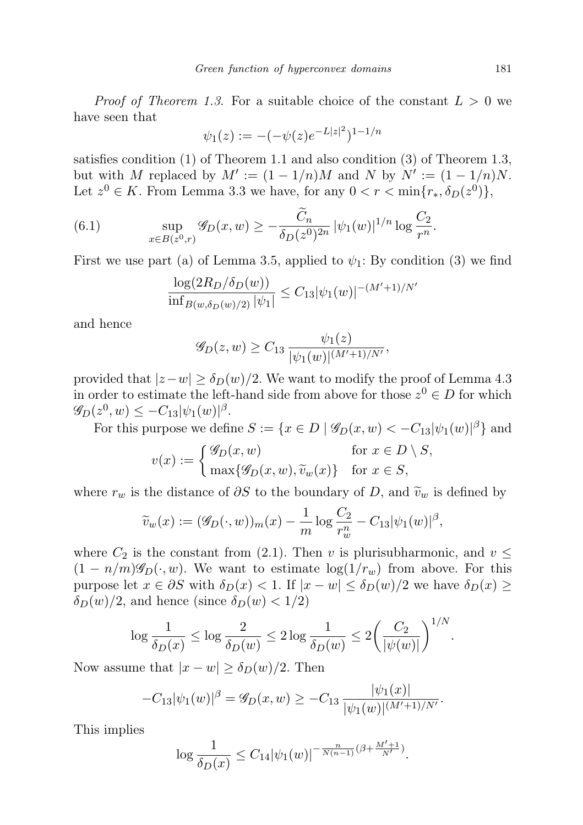*Proof of Theorem 1.3.* For a suitable choice of the constant  $L > 0$  we have seen that

$$
\psi_1(z) := -(-\psi(z)e^{-L|z|^2})^{1-1/n}
$$

satisfies condition (1) of Theorem 1.1 and also condition (3) of Theorem 1.3, but with M replaced by  $M' := (1 - 1/n)M$  and N by  $N' := (1 - 1/n)N$ . Let  $z^0 \in K$ . From Lemma 3.3 we have, for any  $0 < r < \min\{r_*, \delta_D(z^0)\}\$ ,

(6.1) 
$$
\sup_{x \in B(z^0,r)} \mathscr{G}_D(x,w) \geq -\frac{\widetilde{C}_n}{\delta_D(z^0)^{2n}} |\psi_1(w)|^{1/n} \log \frac{C_2}{r^n}.
$$

First we use part (a) of Lemma 3.5, applied to  $\psi_1$ : By condition (3) we find

$$
\frac{\log(2R_D/\delta_D(w))}{\inf_{B(w,\delta_D(w)/2)} |\psi_1|} \le C_{13} |\psi_1(w)|^{-(M'+1)/N'}
$$

and hence

$$
\mathscr{G}_D(z,w) \geq C_{13} \frac{\psi_1(z)}{|\psi_1(w)|^{(M'+1)/N'}},
$$

provided that  $|z-w| \ge \delta_D(w)/2$ . We want to modify the proof of Lemma 4.3 in order to estimate the left-hand side from above for those  $z^0 \in D$  for which  $\mathscr{G}_{D}(z^{0}, w) \leq -C_{13} |\psi_{1}(w)|^{\beta}.$ 

For this purpose we define  $S := \{x \in D \mid \mathscr{G}_D(x, w) < -C_{13}|\psi_1(w)|^{\beta}\}\$ and

$$
v(x) := \begin{cases} \mathcal{G}_D(x, w) & \text{for } x \in D \setminus S, \\ \max\{\mathcal{G}_D(x, w), \tilde{v}_w(x)\} & \text{for } x \in S, \end{cases}
$$

where  $r_w$  is the distance of  $\partial S$  to the boundary of D, and  $\tilde{v}_w$  is defined by

$$
\widetilde{v}_w(x) := (\mathscr{G}_D(\cdot, w))_m(x) - \frac{1}{m} \log \frac{C_2}{r_w^n} - C_{13} |\psi_1(w)|^{\beta},
$$

where  $C_2$  is the constant from (2.1). Then v is plurisubharmonic, and  $v \leq$  $(1 - n/m)\mathscr{G}_D(\cdot, w)$ . We want to estimate  $\log(1/r_w)$  from above. For this purpose let  $x \in \partial S$  with  $\delta_D(x) < 1$ . If  $|x - w| \leq \delta_D(w)/2$  we have  $\delta_D(x) \geq$  $\delta_D(w)/2$ , and hence (since  $\delta_D(w) < 1/2$ )

$$
\log \frac{1}{\delta_D(x)} \le \log \frac{2}{\delta_D(w)} \le 2 \log \frac{1}{\delta_D(w)} \le 2 \left(\frac{C_2}{|\psi(w)|}\right)^{1/N}
$$

.

Now assume that  $|x - w| \geq \delta_D(w)/2$ . Then

$$
-C_{13}|\psi_1(w)|^{\beta} = \mathscr{G}_D(x, w) \ge -C_{13} \frac{|\psi_1(x)|}{|\psi_1(w)|^{(M'+1)/N'}}.
$$

This implies

$$
\log \frac{1}{\delta_D(x)} \leq C_{14} |\psi_1(w)|^{-\frac{n}{N(n-1)}(\beta + \frac{M'+1}{N'}}).
$$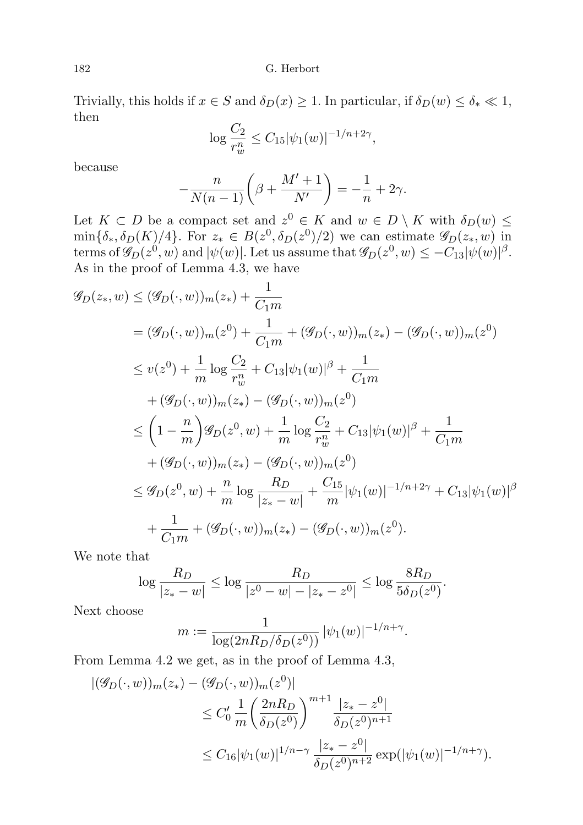Trivially, this holds if  $x \in S$  and  $\delta_D(x) \geq 1$ . In particular, if  $\delta_D(w) \leq \delta_* \ll 1$ , then

$$
\log \frac{C_2}{r_w^n} \le C_{15} |\psi_1(w)|^{-1/n + 2\gamma},
$$

because

$$
-\frac{n}{N(n-1)}\left(\beta + \frac{M' + 1}{N'}\right) = -\frac{1}{n} + 2\gamma.
$$

Let  $K \subset D$  be a compact set and  $z^0 \in K$  and  $w \in D \setminus K$  with  $\delta_D(w) \leq$  $\min{\delta_*, \delta_D(K)/4}$ . For  $z_* \in B(z^0, \delta_D(z^0)/2)$  we can estimate  $\mathscr{G}_D(z_*, w)$  in terms of  $\mathscr{G}_D(z^0,w)$  and  $|\psi(w)|$ . Let us assume that  $\mathscr{G}_D(z^0,w) \leq -C_{13}|\psi(w)|^{\beta}$ . As in the proof of Lemma 4.3, we have

$$
\mathcal{G}_D(z_*, w) \leq (\mathcal{G}_D(\cdot, w))_m(z_*) + \frac{1}{C_1m}
$$
  
\n
$$
= (\mathcal{G}_D(\cdot, w))_m(z^0) + \frac{1}{C_1m} + (\mathcal{G}_D(\cdot, w))_m(z_*) - (\mathcal{G}_D(\cdot, w))_m(z^0)
$$
  
\n
$$
\leq v(z^0) + \frac{1}{m} \log \frac{C_2}{r_w^n} + C_{13} |\psi_1(w)|^\beta + \frac{1}{C_1m}
$$
  
\n
$$
+ (\mathcal{G}_D(\cdot, w))_m(z_*) - (\mathcal{G}_D(\cdot, w))_m(z^0)
$$
  
\n
$$
\leq \left(1 - \frac{n}{m}\right) \mathcal{G}_D(z^0, w) + \frac{1}{m} \log \frac{C_2}{r_w^n} + C_{13} |\psi_1(w)|^\beta + \frac{1}{C_1m}
$$
  
\n
$$
+ (\mathcal{G}_D(\cdot, w))_m(z_*) - (\mathcal{G}_D(\cdot, w))_m(z^0)
$$
  
\n
$$
\leq \mathcal{G}_D(z^0, w) + \frac{n}{m} \log \frac{R_D}{|z_* - w|} + \frac{C_{15}}{m} |\psi_1(w)|^{-1/n + 2\gamma} + C_{13} |\psi_1(w)|^\beta
$$
  
\n
$$
+ \frac{1}{C_1m} + (\mathcal{G}_D(\cdot, w))_m(z_*) - (\mathcal{G}_D(\cdot, w))_m(z^0).
$$

We note that

$$
\log \frac{R_D}{|z_* - w|} \le \log \frac{R_D}{|z^0 - w| - |z_* - z^0|} \le \log \frac{8R_D}{5\delta_D(z^0)}.
$$

Next choose

$$
m := \frac{1}{\log(2nR_D/\delta_D(z^0))} |\psi_1(w)|^{-1/n + \gamma}.
$$

From Lemma 4.2 we get, as in the proof of Lemma 4.3,

$$
\begin{aligned} |(\mathscr{G}_D(\cdot, w))_m(z_*) - (\mathscr{G}_D(\cdot, w))_m(z^0)| \\ &\le C_0' \frac{1}{m} \left(\frac{2nR_D}{\delta_D(z^0)}\right)^{m+1} \frac{|z_* - z^0|}{\delta_D(z^0)^{n+1}} \\ &\le C_{16} |\psi_1(w)|^{1/n - \gamma} \frac{|z_* - z^0|}{\delta_D(z^0)^{n+2}} \exp(|\psi_1(w)|^{-1/n + \gamma}). \end{aligned}
$$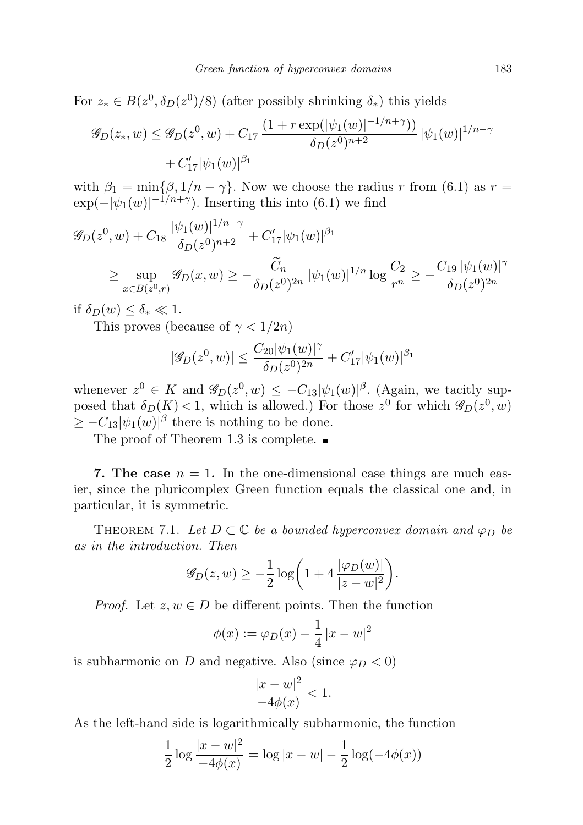For  $z_* \in B(z^0, \delta_D(z^0)/8)$  (after possibly shrinking  $\delta_*)$  this yields

$$
\mathcal{G}_D(z_*, w) \le \mathcal{G}_D(z^0, w) + C_{17} \frac{(1 + r \exp(|\psi_1(w)|^{-1/n + \gamma}))}{\delta_D(z^0)^{n+2}} |\psi_1(w)|^{1/n - \gamma} + C_{17}' |\psi_1(w)|^{\beta_1}
$$

with  $\beta_1 = \min\{\beta, 1/n - \gamma\}$ . Now we choose the radius r from (6.1) as  $r =$  $\exp(-|\psi_1(w)|^{-1/n+\gamma})$ . Inserting this into (6.1) we find

$$
\mathcal{G}_D(z^0, w) + C_{18} \frac{|\psi_1(w)|^{1/n - \gamma}}{\delta_D(z^0)^{n+2}} + C'_{17} |\psi_1(w)|^{\beta_1}
$$
  
\n
$$
\geq \sup_{x \in B(z^0, r)} \mathcal{G}_D(x, w) \geq -\frac{\widetilde{C}_n}{\delta_D(z^0)^{2n}} |\psi_1(w)|^{1/n} \log \frac{C_2}{r^n} \geq -\frac{C_{19} |\psi_1(w)|^{\gamma}}{\delta_D(z^0)^{2n}}
$$

if  $\delta_D(w) \leq \delta_* \ll 1$ .

This proves (because of  $\gamma < 1/2n$ )

$$
|\mathscr{G}_D(z^0,w)|\leq \frac{C_{20}|\psi_1(w)|^\gamma}{\delta_D(z^0)^{2n}}+C_{17}'|\psi_1(w)|^{\beta_1}
$$

whenever  $z^0 \in K$  and  $\mathscr{G}_D(z^0, w) \leq -C_{13}|\psi_1(w)|^{\beta}$ . (Again, we tacitly supposed that  $\delta_D(K) < 1$ , which is allowed.) For those  $z^0$  for which  $\mathscr{G}_D(z^0, w)$  $\geq -C_{13}|\psi_1(w)|^{\beta}$  there is nothing to be done.

The proof of Theorem 1.3 is complete.  $\blacksquare$ 

**7. The case**  $n = 1$ . In the one-dimensional case things are much easier, since the pluricomplex Green function equals the classical one and, in particular, it is symmetric.

THEOREM 7.1. Let  $D \subset \mathbb{C}$  be a bounded hyperconvex domain and  $\varphi_D$  be as in the introduction. Then

$$
\mathscr{G}_D(z,w) \geq -\frac{1}{2}\log\bigg(1+4\frac{|\varphi_D(w)|}{|z-w|^2}\bigg).
$$

*Proof.* Let  $z, w \in D$  be different points. Then the function

$$
\phi(x) := \varphi_D(x) - \frac{1}{4}|x - w|^2
$$

is subharmonic on D and negative. Also (since  $\varphi_D < 0$ )

$$
\frac{|x-w|^2}{-4\phi(x)} < 1.
$$

As the left-hand side is logarithmically subharmonic, the function

$$
\frac{1}{2}\log\frac{|x-w|^2}{-4\phi(x)} = \log|x-w| - \frac{1}{2}\log(-4\phi(x))
$$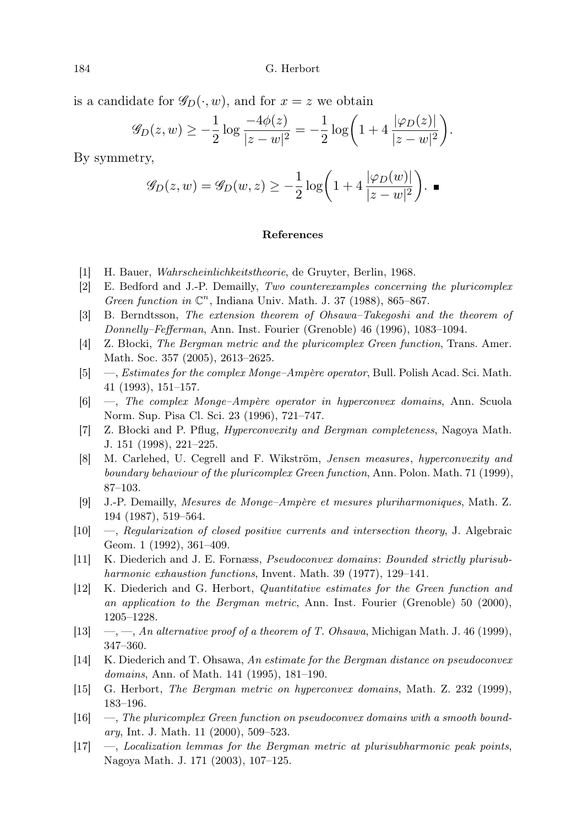is a candidate for  $\mathscr{G}_D(\cdot, w)$ , and for  $x = z$  we obtain

$$
\mathscr{G}_D(z,w) \ge -\frac{1}{2}\log\frac{-4\phi(z)}{|z-w|^2} = -\frac{1}{2}\log\bigg(1+4\,\frac{|\varphi_D(z)|}{|z-w|^2}\bigg).
$$

By symmetry,

$$
\mathscr{G}_D(z,w) = \mathscr{G}_D(w,z) \ge -\frac{1}{2}\log\bigg(1 + 4\frac{|\varphi_D(w)|}{|z-w|^2}\bigg). \blacksquare
$$

## References

- [1] H. Bauer, Wahrscheinlichkeitstheorie, de Gruyter, Berlin, 1968.
- [2] E. Bedford and J.-P. Demailly, Two counterexamples concerning the pluricomplex Green function in  $\mathbb{C}^n$ , Indiana Univ. Math. J. 37 (1988), 865-867.
- [3] B. Berndtsson, The extension theorem of Ohsawa–Takegoshi and the theorem of Donnelly–Fefferman, Ann. Inst. Fourier (Grenoble) 46 (1996), 1083–1094.
- [4] Z. Błocki, The Bergman metric and the pluricomplex Green function, Trans. Amer. Math. Soc. 357 (2005), 2613–2625.
- [5] —, Estimates for the complex Monge–Ampère operator, Bull. Polish Acad. Sci. Math. 41 (1993), 151–157.
- [6] —, The complex Monge–Ampère operator in hyperconvex domains, Ann. Scuola Norm. Sup. Pisa Cl. Sci. 23 (1996), 721–747.
- [7] Z. Błocki and P. Pflug, Hyperconvexity and Bergman completeness, Nagoya Math. J. 151 (1998), 221–225.
- [8] M. Carlehed, U. Cegrell and F. Wikström, Jensen measures, hyperconvexity and boundary behaviour of the pluricomplex Green function, Ann. Polon. Math. 71 (1999), 87–103.
- [9] J.-P. Demailly, Mesures de Monge–Ampère et mesures pluriharmoniques, Math. Z. 194 (1987), 519–564.
- [10] —, Regularization of closed positive currents and intersection theory, J. Algebraic Geom. 1 (1992), 361–409.
- [11] K. Diederich and J. E. Fornæss, Pseudoconvex domains: Bounded strictly plurisubharmonic exhaustion functions, Invent. Math. 39 (1977), 129–141.
- [12] K. Diederich and G. Herbort, Quantitative estimates for the Green function and an application to the Bergman metric, Ann. Inst. Fourier (Grenoble) 50 (2000), 1205–1228.
- [13]  $\quad, \_\_$ , An alternative proof of a theorem of T. Ohsawa, Michigan Math. J. 46 (1999), 347–360.
- [14] K. Diederich and T. Ohsawa, An estimate for the Bergman distance on pseudoconvex domains, Ann. of Math. 141 (1995), 181–190.
- [15] G. Herbort, The Bergman metric on hyperconvex domains, Math. Z. 232 (1999), 183–196.
- [16] —, The pluricomplex Green function on pseudoconvex domains with a smooth bound*ary*, Int. J. Math. 11  $(2000)$ , 509–523.
- $[17] \quad -$ , Localization lemmas for the Bergman metric at plurisubharmonic peak points, Nagoya Math. J. 171 (2003), 107–125.